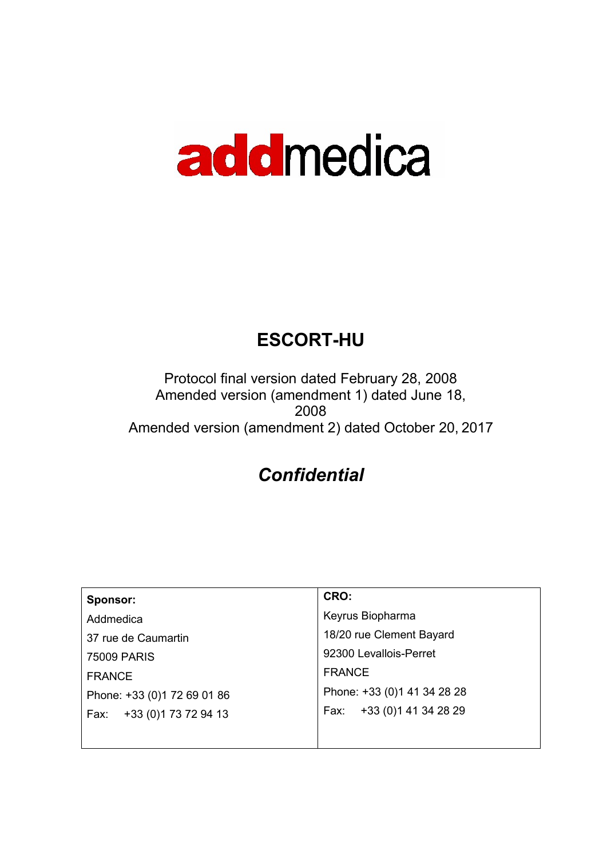# addmedica

# ESCORT-HU

Protocol final version dated February 28, 2008 Amended version (amendment 1) dated June 18, 2008 Amended version (amendment 2) dated October 20, 2017

# **Confidential**

| Sponsor:                    | CRO:                         |
|-----------------------------|------------------------------|
| Addmedica                   | Keyrus Biopharma             |
| 37 rue de Caumartin         | 18/20 rue Clement Bayard     |
| <b>75009 PARIS</b>          | 92300 Levallois-Perret       |
| <b>FRANCE</b>               | <b>FRANCE</b>                |
| Phone: +33 (0)1 72 69 01 86 | Phone: +33 (0) 1 41 34 28 28 |
| Fax: +33 (0) 173 72 94 13   | +33 (0) 141 34 28 29<br>Fax: |
|                             |                              |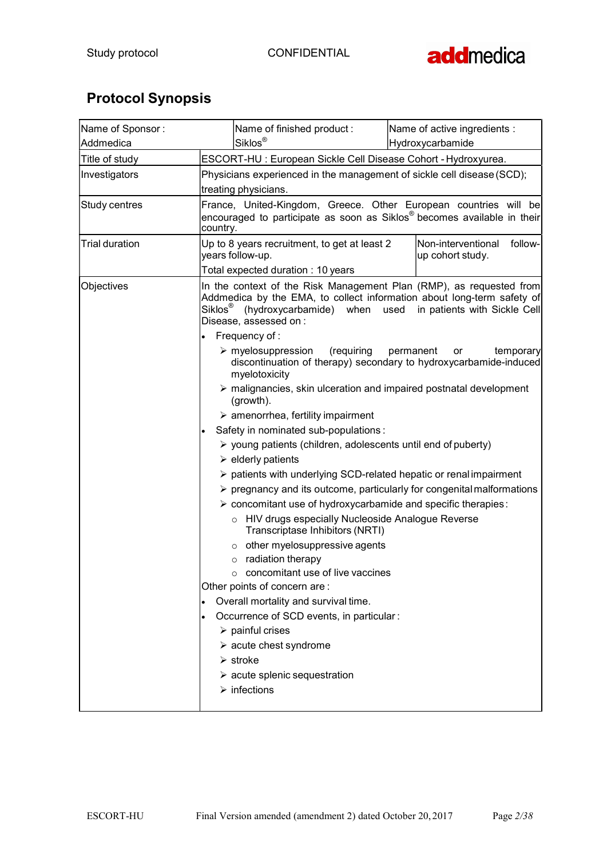

# Protocol Synopsis

| Name of Sponsor:      |                                                                                                | Name of finished product:                                                                                         | Name of active ingredients :                                                                                                                                                          |
|-----------------------|------------------------------------------------------------------------------------------------|-------------------------------------------------------------------------------------------------------------------|---------------------------------------------------------------------------------------------------------------------------------------------------------------------------------------|
| Addmedica             |                                                                                                | Siklos <sup>®</sup>                                                                                               | Hydroxycarbamide                                                                                                                                                                      |
| Title of study        |                                                                                                | ESCORT-HU : European Sickle Cell Disease Cohort - Hydroxyurea.                                                    |                                                                                                                                                                                       |
| Investigators         | Physicians experienced in the management of sickle cell disease (SCD);<br>treating physicians. |                                                                                                                   |                                                                                                                                                                                       |
| Study centres         | country.                                                                                       |                                                                                                                   | France, United-Kingdom, Greece. Other European countries will be<br>encouraged to participate as soon as Siklos <sup>®</sup> becomes available in their                               |
| <b>Trial duration</b> | years follow-up.                                                                               | Up to 8 years recruitment, to get at least 2                                                                      | Non-interventional<br>follow-<br>up cohort study.                                                                                                                                     |
|                       |                                                                                                | Total expected duration: 10 years                                                                                 |                                                                                                                                                                                       |
| Objectives            | Siklos®                                                                                        | (hydroxycarbamide) when<br>Disease, assessed on :                                                                 | In the context of the Risk Management Plan (RMP), as requested from<br>Addmedica by the EMA, to collect information about long-term safety of<br>used<br>in patients with Sickle Cell |
|                       |                                                                                                | Frequency of:                                                                                                     |                                                                                                                                                                                       |
|                       |                                                                                                | (requiring<br>$\triangleright$ myelosuppression<br>myelotoxicity                                                  | permanent<br>temporary<br>or<br>discontinuation of therapy) secondary to hydroxycarbamide-induced                                                                                     |
|                       |                                                                                                | $\triangleright$ malignancies, skin ulceration and impaired postnatal development<br>(growth).                    |                                                                                                                                                                                       |
|                       |                                                                                                | $\triangleright$ amenorrhea, fertility impairment                                                                 |                                                                                                                                                                                       |
|                       |                                                                                                | Safety in nominated sub-populations:                                                                              |                                                                                                                                                                                       |
|                       |                                                                                                | $\triangleright$ young patients (children, adolescents until end of puberty)<br>$\triangleright$ elderly patients |                                                                                                                                                                                       |
|                       |                                                                                                | > patients with underlying SCD-related hepatic or renal impairment                                                |                                                                                                                                                                                       |
|                       |                                                                                                |                                                                                                                   | $\triangleright$ pregnancy and its outcome, particularly for congenital malformations                                                                                                 |
|                       |                                                                                                | > concomitant use of hydroxycarbamide and specific therapies:                                                     |                                                                                                                                                                                       |
|                       |                                                                                                | o HIV drugs especially Nucleoside Analogue Reverse<br>Transcriptase Inhibitors (NRTI)                             |                                                                                                                                                                                       |
|                       |                                                                                                | $\circ$ other myelosuppressive agents                                                                             |                                                                                                                                                                                       |
|                       |                                                                                                | $\circ$ radiation therapy                                                                                         |                                                                                                                                                                                       |
|                       |                                                                                                | o concomitant use of live vaccines                                                                                |                                                                                                                                                                                       |
|                       |                                                                                                | Other points of concern are:                                                                                      |                                                                                                                                                                                       |
|                       |                                                                                                | Overall mortality and survival time.                                                                              |                                                                                                                                                                                       |
|                       |                                                                                                | Occurrence of SCD events, in particular:                                                                          |                                                                                                                                                                                       |
|                       |                                                                                                | $\triangleright$ painful crises                                                                                   |                                                                                                                                                                                       |
|                       |                                                                                                | $\triangleright$ acute chest syndrome                                                                             |                                                                                                                                                                                       |
|                       | $\triangleright$ stroke                                                                        |                                                                                                                   |                                                                                                                                                                                       |
|                       |                                                                                                | $\triangleright$ acute splenic sequestration                                                                      |                                                                                                                                                                                       |
|                       |                                                                                                | $\triangleright$ infections                                                                                       |                                                                                                                                                                                       |
|                       |                                                                                                |                                                                                                                   |                                                                                                                                                                                       |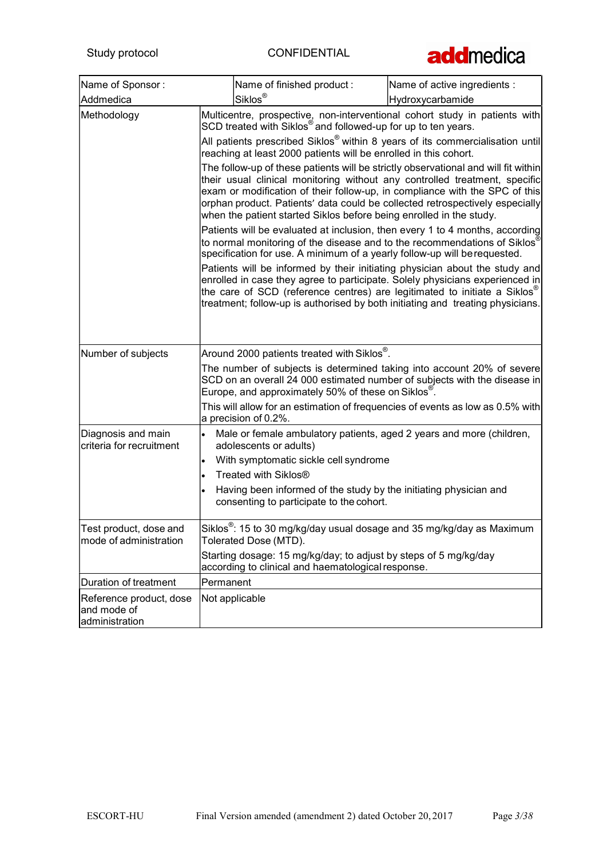

| Name of Sponsor:                                         |           | Name of finished product:                                                                                                                                                                                                                                                                                                                                                                                                                                                                                                                                                                                                                                                                                                                                                                                                                                                                                                                                                                                                                                                                                                                                                                                                                                                                                             | Name of active ingredients : |
|----------------------------------------------------------|-----------|-----------------------------------------------------------------------------------------------------------------------------------------------------------------------------------------------------------------------------------------------------------------------------------------------------------------------------------------------------------------------------------------------------------------------------------------------------------------------------------------------------------------------------------------------------------------------------------------------------------------------------------------------------------------------------------------------------------------------------------------------------------------------------------------------------------------------------------------------------------------------------------------------------------------------------------------------------------------------------------------------------------------------------------------------------------------------------------------------------------------------------------------------------------------------------------------------------------------------------------------------------------------------------------------------------------------------|------------------------------|
| Addmedica                                                |           | Siklos <sup>®</sup>                                                                                                                                                                                                                                                                                                                                                                                                                                                                                                                                                                                                                                                                                                                                                                                                                                                                                                                                                                                                                                                                                                                                                                                                                                                                                                   | Hydroxycarbamide             |
| Methodology                                              |           | Multicentre, prospective, non-interventional cohort study in patients with<br>SCD treated with Siklos <sup>®</sup> and followed-up for up to ten years.<br>All patients prescribed Siklos <sup>®</sup> within 8 years of its commercialisation until<br>reaching at least 2000 patients will be enrolled in this cohort.<br>The follow-up of these patients will be strictly observational and will fit within<br>their usual clinical monitoring without any controlled treatment, specific<br>exam or modification of their follow-up, in compliance with the SPC of this<br>orphan product. Patients' data could be collected retrospectively especially<br>when the patient started Siklos before being enrolled in the study.<br>Patients will be evaluated at inclusion, then every 1 to 4 months, according<br>to normal monitoring of the disease and to the recommendations of Siklos<br>specification for use. A minimum of a yearly follow-up will be requested.<br>Patients will be informed by their initiating physician about the study and<br>enrolled in case they agree to participate. Solely physicians experienced in<br>the care of SCD (reference centres) are legitimated to initiate a Siklos <sup>®</sup><br>treatment; follow-up is authorised by both initiating and treating physicians. |                              |
| Number of subjects                                       |           | Around 2000 patients treated with Siklos <sup>®</sup> .<br>The number of subjects is determined taking into account 20% of severe<br>SCD on an overall 24 000 estimated number of subjects with the disease in<br>Europe, and approximately 50% of these on Siklos <sup>®</sup> .<br>This will allow for an estimation of frequencies of events as low as 0.5% with<br>a precision of 0.2%.                                                                                                                                                                                                                                                                                                                                                                                                                                                                                                                                                                                                                                                                                                                                                                                                                                                                                                                           |                              |
| Diagnosis and main<br>criteria for recruitment           | $\bullet$ | Male or female ambulatory patients, aged 2 years and more (children,<br>adolescents or adults)<br>With symptomatic sickle cell syndrome<br>Treated with Siklos <sup>®</sup><br>Having been informed of the study by the initiating physician and<br>consenting to participate to the cohort.                                                                                                                                                                                                                                                                                                                                                                                                                                                                                                                                                                                                                                                                                                                                                                                                                                                                                                                                                                                                                          |                              |
| Test product, dose and<br>mode of administration         |           | Siklos <sup>®</sup> : 15 to 30 mg/kg/day usual dosage and 35 mg/kg/day as Maximum<br>Tolerated Dose (MTD).<br>Starting dosage: 15 mg/kg/day; to adjust by steps of 5 mg/kg/day<br>according to clinical and haematological response.                                                                                                                                                                                                                                                                                                                                                                                                                                                                                                                                                                                                                                                                                                                                                                                                                                                                                                                                                                                                                                                                                  |                              |
| Duration of treatment                                    | Permanent |                                                                                                                                                                                                                                                                                                                                                                                                                                                                                                                                                                                                                                                                                                                                                                                                                                                                                                                                                                                                                                                                                                                                                                                                                                                                                                                       |                              |
| Reference product, dose<br>and mode of<br>administration |           | Not applicable                                                                                                                                                                                                                                                                                                                                                                                                                                                                                                                                                                                                                                                                                                                                                                                                                                                                                                                                                                                                                                                                                                                                                                                                                                                                                                        |                              |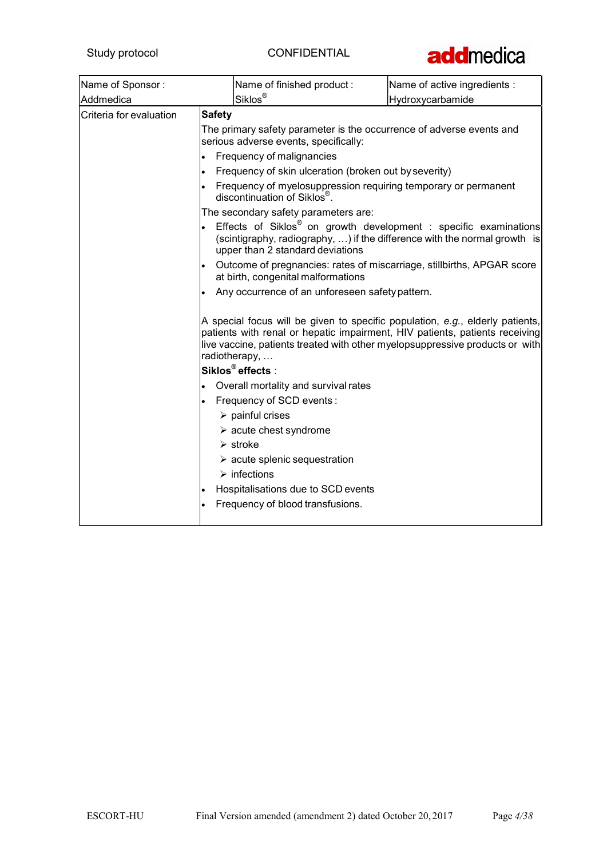

| Name of Sponsor:        | Name of finished product:                                                                                     | Name of active ingredients :                                                                                                                                                                                                                 |
|-------------------------|---------------------------------------------------------------------------------------------------------------|----------------------------------------------------------------------------------------------------------------------------------------------------------------------------------------------------------------------------------------------|
| Addmedica               | Siklos <sup>®</sup>                                                                                           | Hydroxycarbamide                                                                                                                                                                                                                             |
| Criteria for evaluation | <b>Safety</b>                                                                                                 |                                                                                                                                                                                                                                              |
|                         | The primary safety parameter is the occurrence of adverse events and<br>serious adverse events, specifically: |                                                                                                                                                                                                                                              |
|                         | Frequency of malignancies                                                                                     |                                                                                                                                                                                                                                              |
|                         | Frequency of skin ulceration (broken out by severity)<br>$\bullet$                                            |                                                                                                                                                                                                                                              |
|                         | Frequency of myelosuppression requiring temporary or permanent<br>discontinuation of Siklos <sup>®</sup> .    |                                                                                                                                                                                                                                              |
|                         | The secondary safety parameters are:                                                                          |                                                                                                                                                                                                                                              |
|                         | upper than 2 standard deviations                                                                              | Effects of Siklos <sup>®</sup> on growth development : specific examinations<br>(scintigraphy, radiography, ) if the difference with the normal growth is                                                                                    |
|                         | at birth, congenital malformations                                                                            | Outcome of pregnancies: rates of miscarriage, stillbirths, APGAR score                                                                                                                                                                       |
|                         | Any occurrence of an unforeseen safety pattern.                                                               |                                                                                                                                                                                                                                              |
|                         | radiotherapy,                                                                                                 | A special focus will be given to specific population, e.g., elderly patients,<br>patients with renal or hepatic impairment, HIV patients, patients receiving<br>live vaccine, patients treated with other myelopsuppressive products or with |
|                         | Siklos <sup>®</sup> effects:                                                                                  |                                                                                                                                                                                                                                              |
|                         | Overall mortality and survival rates                                                                          |                                                                                                                                                                                                                                              |
|                         | Frequency of SCD events :                                                                                     |                                                                                                                                                                                                                                              |
|                         | $\triangleright$ painful crises                                                                               |                                                                                                                                                                                                                                              |
|                         | $\triangleright$ acute chest syndrome<br>$\triangleright$ stroke                                              |                                                                                                                                                                                                                                              |
|                         | $\triangleright$ acute splenic sequestration                                                                  |                                                                                                                                                                                                                                              |
|                         | $\triangleright$ infections                                                                                   |                                                                                                                                                                                                                                              |
|                         | Hospitalisations due to SCD events                                                                            |                                                                                                                                                                                                                                              |
|                         | Frequency of blood transfusions.                                                                              |                                                                                                                                                                                                                                              |
|                         |                                                                                                               |                                                                                                                                                                                                                                              |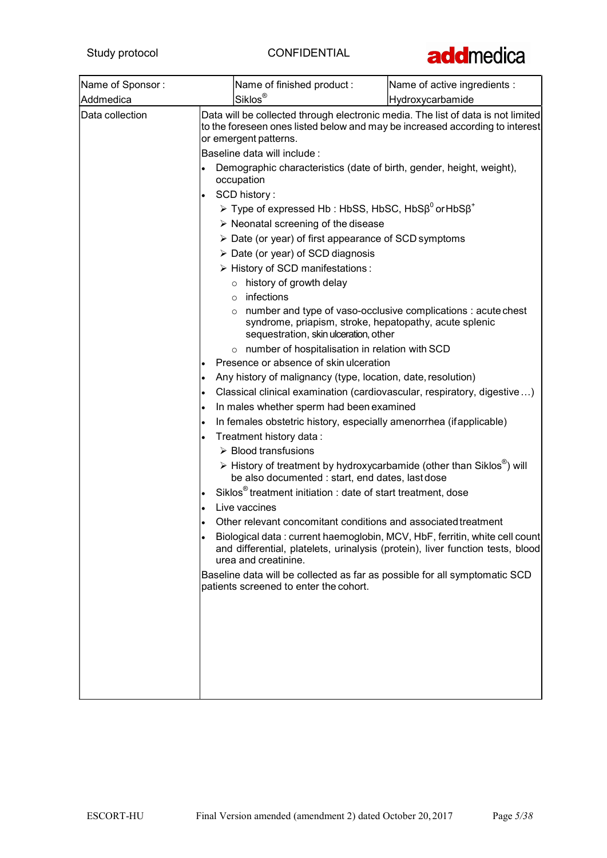

| Name of Sponsor: |                                         | Name of finished product :                                                                      | Name of active ingredients :                                                                                                                                                                                                             |
|------------------|-----------------------------------------|-------------------------------------------------------------------------------------------------|------------------------------------------------------------------------------------------------------------------------------------------------------------------------------------------------------------------------------------------|
| Addmedica        | Siklos <sup>®</sup><br>Hydroxycarbamide |                                                                                                 |                                                                                                                                                                                                                                          |
| Data collection  |                                         | or emergent patterns.<br>Baseline data will include :                                           | Data will be collected through electronic media. The list of data is not limited<br>to the foreseen ones listed below and may be increased according to interest<br>Demographic characteristics (date of birth, gender, height, weight), |
|                  |                                         | occupation                                                                                      |                                                                                                                                                                                                                                          |
|                  |                                         | SCD history:                                                                                    |                                                                                                                                                                                                                                          |
|                  |                                         | $\triangleright$ Type of expressed Hb : HbSS, HbSC, HbS $\beta^0$ or HbS $\beta^+$              |                                                                                                                                                                                                                                          |
|                  |                                         | $\triangleright$ Neonatal screening of the disease                                              |                                                                                                                                                                                                                                          |
|                  |                                         | $\triangleright$ Date (or year) of first appearance of SCD symptoms                             |                                                                                                                                                                                                                                          |
|                  |                                         | > Date (or year) of SCD diagnosis                                                               |                                                                                                                                                                                                                                          |
|                  |                                         | > History of SCD manifestations:                                                                |                                                                                                                                                                                                                                          |
|                  |                                         | $\circ$ history of growth delay<br>$\circ$ infections                                           |                                                                                                                                                                                                                                          |
|                  |                                         | syndrome, priapism, stroke, hepatopathy, acute splenic<br>sequestration, skin ulceration, other | $\circ$ number and type of vaso-occlusive complications : acute chest                                                                                                                                                                    |
|                  |                                         | o number of hospitalisation in relation with SCD                                                |                                                                                                                                                                                                                                          |
|                  |                                         | Presence or absence of skin ulceration                                                          |                                                                                                                                                                                                                                          |
|                  |                                         | Any history of malignancy (type, location, date, resolution)                                    |                                                                                                                                                                                                                                          |
|                  |                                         |                                                                                                 | Classical clinical examination (cardiovascular, respiratory, digestive)                                                                                                                                                                  |
|                  | $\bullet$                               | In males whether sperm had been examined                                                        |                                                                                                                                                                                                                                          |
|                  |                                         | In females obstetric history, especially amenorrhea (if applicable)                             |                                                                                                                                                                                                                                          |
|                  |                                         | Treatment history data:<br>> Blood transfusions                                                 |                                                                                                                                                                                                                                          |
|                  |                                         | be also documented : start, end dates, last dose                                                | $\triangleright$ History of treatment by hydroxycarbamide (other than Siklos <sup>®</sup> ) will                                                                                                                                         |
|                  |                                         | Siklos <sup>®</sup> treatment initiation : date of start treatment, dose                        |                                                                                                                                                                                                                                          |
|                  |                                         | Live vaccines                                                                                   |                                                                                                                                                                                                                                          |
|                  |                                         | Other relevant concomitant conditions and associated treatment                                  |                                                                                                                                                                                                                                          |
|                  |                                         | urea and creatinine.                                                                            | Biological data : current haemoglobin, MCV, HbF, ferritin, white cell count<br>and differential, platelets, urinalysis (protein), liver function tests, blood                                                                            |
|                  |                                         | patients screened to enter the cohort.                                                          | Baseline data will be collected as far as possible for all symptomatic SCD                                                                                                                                                               |
|                  |                                         |                                                                                                 |                                                                                                                                                                                                                                          |
|                  |                                         |                                                                                                 |                                                                                                                                                                                                                                          |
|                  |                                         |                                                                                                 |                                                                                                                                                                                                                                          |
|                  |                                         |                                                                                                 |                                                                                                                                                                                                                                          |
|                  |                                         |                                                                                                 |                                                                                                                                                                                                                                          |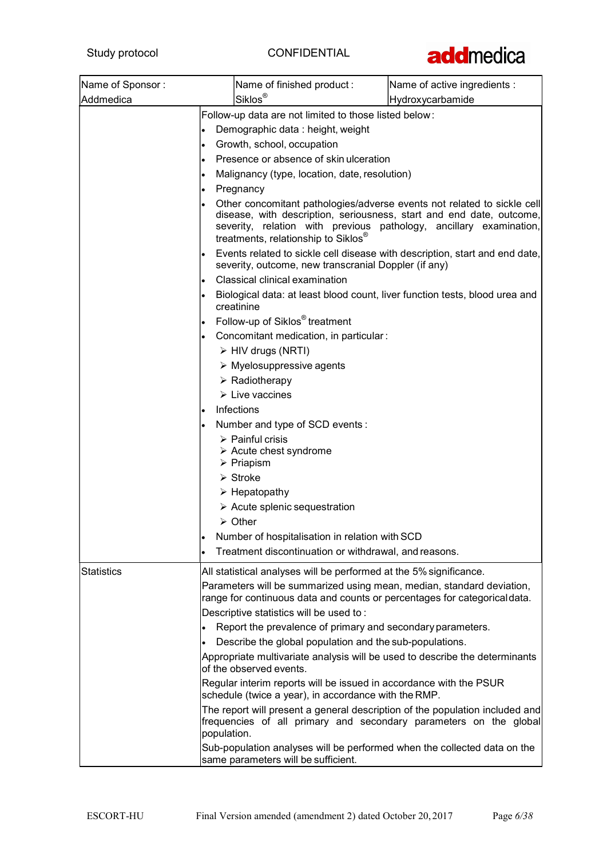

| Name of Sponsor:  |                                                                                                                                                              | Name of finished product:                                                                                                                                                                                                                                           | Name of active ingredients : |
|-------------------|--------------------------------------------------------------------------------------------------------------------------------------------------------------|---------------------------------------------------------------------------------------------------------------------------------------------------------------------------------------------------------------------------------------------------------------------|------------------------------|
| Addmedica         |                                                                                                                                                              | Siklos <sup>®</sup>                                                                                                                                                                                                                                                 | Hydroxycarbamide             |
|                   | Follow-up data are not limited to those listed below:                                                                                                        |                                                                                                                                                                                                                                                                     |                              |
|                   | Demographic data: height, weight<br>$\bullet$                                                                                                                |                                                                                                                                                                                                                                                                     |                              |
|                   | Growth, school, occupation<br>$\bullet$<br>Presence or absence of skin ulceration<br>$\bullet$<br>Malignancy (type, location, date, resolution)<br>$\bullet$ |                                                                                                                                                                                                                                                                     |                              |
|                   |                                                                                                                                                              |                                                                                                                                                                                                                                                                     |                              |
|                   |                                                                                                                                                              |                                                                                                                                                                                                                                                                     |                              |
|                   | $\bullet$                                                                                                                                                    | Pregnancy                                                                                                                                                                                                                                                           |                              |
|                   |                                                                                                                                                              | Other concomitant pathologies/adverse events not related to sickle cell<br>disease, with description, seriousness, start and end date, outcome,<br>severity, relation with previous pathology, ancillary examination,<br>treatments, relationship to Siklos®        |                              |
|                   |                                                                                                                                                              | Events related to sickle cell disease with description, start and end date,<br>severity, outcome, new transcranial Doppler (if any)                                                                                                                                 |                              |
|                   |                                                                                                                                                              | Classical clinical examination                                                                                                                                                                                                                                      |                              |
|                   |                                                                                                                                                              | Biological data: at least blood count, liver function tests, blood urea and<br>creatinine                                                                                                                                                                           |                              |
|                   | $\bullet$                                                                                                                                                    | Follow-up of Siklos <sup>®</sup> treatment                                                                                                                                                                                                                          |                              |
|                   |                                                                                                                                                              | Concomitant medication, in particular:                                                                                                                                                                                                                              |                              |
|                   |                                                                                                                                                              | > HIV drugs (NRTI)                                                                                                                                                                                                                                                  |                              |
|                   |                                                                                                                                                              | $\triangleright$ Myelosuppressive agents                                                                                                                                                                                                                            |                              |
|                   |                                                                                                                                                              | $\triangleright$ Radiotherapy                                                                                                                                                                                                                                       |                              |
|                   |                                                                                                                                                              | $\triangleright$ Live vaccines                                                                                                                                                                                                                                      |                              |
|                   | $\bullet$                                                                                                                                                    | Infections                                                                                                                                                                                                                                                          |                              |
|                   |                                                                                                                                                              | Number and type of SCD events:                                                                                                                                                                                                                                      |                              |
|                   |                                                                                                                                                              | $\triangleright$ Painful crisis<br>$\triangleright$ Acute chest syndrome<br>$\triangleright$ Priapism                                                                                                                                                               |                              |
|                   |                                                                                                                                                              | $\triangleright$ Stroke                                                                                                                                                                                                                                             |                              |
|                   |                                                                                                                                                              | $\triangleright$ Hepatopathy                                                                                                                                                                                                                                        |                              |
|                   |                                                                                                                                                              | $\triangleright$ Acute splenic sequestration                                                                                                                                                                                                                        |                              |
|                   |                                                                                                                                                              | $\triangleright$ Other                                                                                                                                                                                                                                              |                              |
|                   | $\bullet$                                                                                                                                                    | Number of hospitalisation in relation with SCD                                                                                                                                                                                                                      |                              |
|                   | $\bullet$                                                                                                                                                    | Treatment discontinuation or withdrawal, and reasons.                                                                                                                                                                                                               |                              |
| <b>Statistics</b> |                                                                                                                                                              | All statistical analyses will be performed at the 5% significance.<br>Parameters will be summarized using mean, median, standard deviation,<br>range for continuous data and counts or percentages for categorical data.<br>Descriptive statistics will be used to: |                              |
|                   |                                                                                                                                                              | Report the prevalence of primary and secondary parameters.                                                                                                                                                                                                          |                              |
|                   |                                                                                                                                                              | Describe the global population and the sub-populations.                                                                                                                                                                                                             |                              |
|                   |                                                                                                                                                              | Appropriate multivariate analysis will be used to describe the determinants<br>of the observed events.                                                                                                                                                              |                              |
|                   |                                                                                                                                                              | Regular interim reports will be issued in accordance with the PSUR<br>schedule (twice a year), in accordance with the RMP.                                                                                                                                          |                              |
|                   | population.                                                                                                                                                  | The report will present a general description of the population included and<br>frequencies of all primary and secondary parameters on the global                                                                                                                   |                              |
|                   |                                                                                                                                                              | Sub-population analyses will be performed when the collected data on the<br>same parameters will be sufficient.                                                                                                                                                     |                              |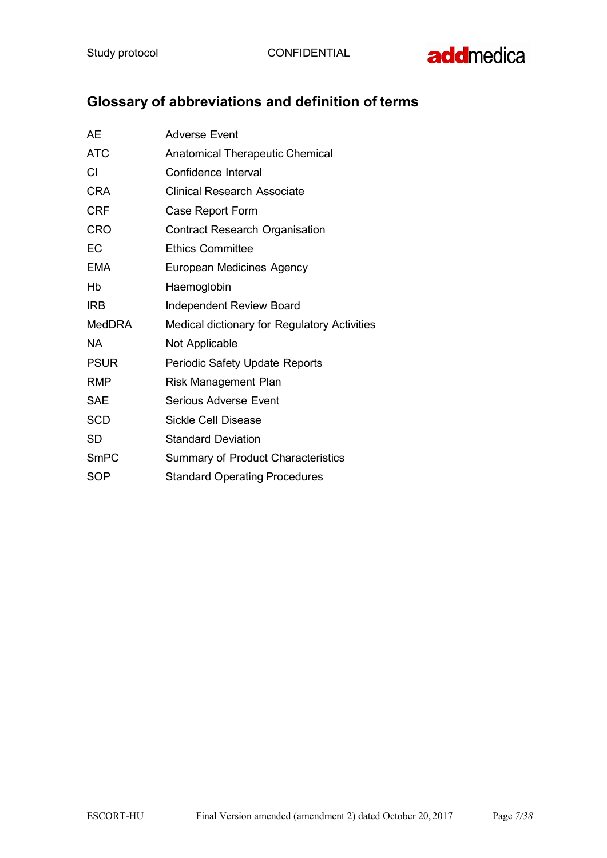Study protocol CONFIDENTIAL



# Glossary of abbreviations and definition of terms

| AE            | <b>Adverse Event</b>                         |
|---------------|----------------------------------------------|
| <b>ATC</b>    | <b>Anatomical Therapeutic Chemical</b>       |
| СI            | Confidence Interval                          |
| <b>CRA</b>    | Clinical Research Associate                  |
| <b>CRF</b>    | Case Report Form                             |
| <b>CRO</b>    | <b>Contract Research Organisation</b>        |
| EC            | <b>Ethics Committee</b>                      |
| <b>EMA</b>    | European Medicines Agency                    |
| Hb            | Haemoglobin                                  |
| <b>IRB</b>    | <b>Independent Review Board</b>              |
| <b>MedDRA</b> | Medical dictionary for Regulatory Activities |
| NA.           | Not Applicable                               |
| <b>PSUR</b>   | Periodic Safety Update Reports               |
| <b>RMP</b>    | <b>Risk Management Plan</b>                  |
| <b>SAE</b>    | Serious Adverse Event                        |
| <b>SCD</b>    | <b>Sickle Cell Disease</b>                   |
| <b>SD</b>     | <b>Standard Deviation</b>                    |
| <b>SmPC</b>   | <b>Summary of Product Characteristics</b>    |
| <b>SOP</b>    | <b>Standard Operating Procedures</b>         |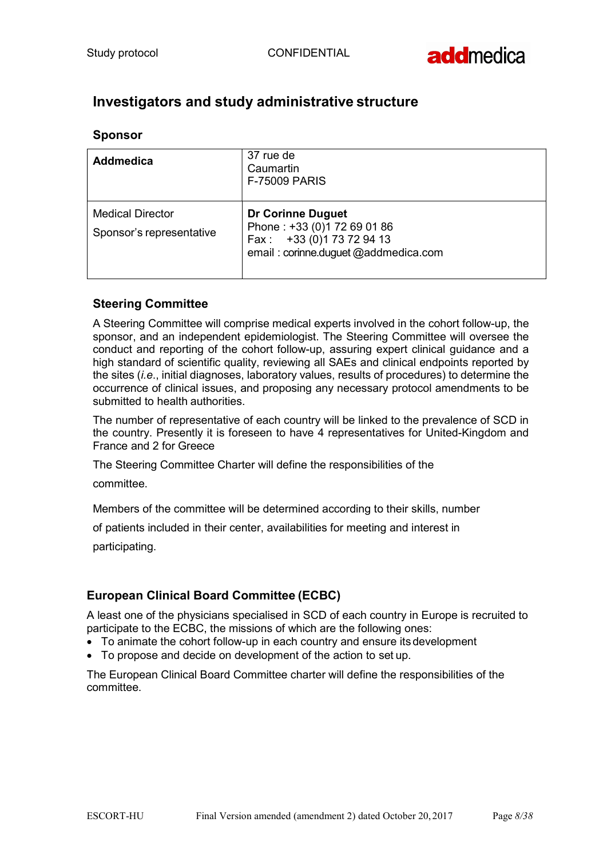

## Investigators and study administrative structure

### Sponsor

| <b>Addmedica</b>                                    | 37 rue de<br>Caumartin<br><b>F-75009 PARIS</b>                                                                               |
|-----------------------------------------------------|------------------------------------------------------------------------------------------------------------------------------|
| <b>Medical Director</b><br>Sponsor's representative | <b>Dr Corinne Duguet</b><br>Phone: +33 (0)1 72 69 01 86<br>Fax: +33 (0) 173 72 94 13<br>email: corinne.duguet @addmedica.com |

## Steering Committee

A Steering Committee will comprise medical experts involved in the cohort follow-up, the sponsor, and an independent epidemiologist. The Steering Committee will oversee the conduct and reporting of the cohort follow-up, assuring expert clinical guidance and a high standard of scientific quality, reviewing all SAEs and clinical endpoints reported by the sites (i.e., initial diagnoses, laboratory values, results of procedures) to determine the occurrence of clinical issues, and proposing any necessary protocol amendments to be submitted to health authorities.

The number of representative of each country will be linked to the prevalence of SCD in the country. Presently it is foreseen to have 4 representatives for United-Kingdom and France and 2 for Greece

The Steering Committee Charter will define the responsibilities of the

committee.

Members of the committee will be determined according to their skills, number

of patients included in their center, availabilities for meeting and interest in

participating.

## European Clinical Board Committee (ECBC)

A least one of the physicians specialised in SCD of each country in Europe is recruited to participate to the ECBC, the missions of which are the following ones:

- To animate the cohort follow-up in each country and ensure its development
- To propose and decide on development of the action to set up.

The European Clinical Board Committee charter will define the responsibilities of the committee.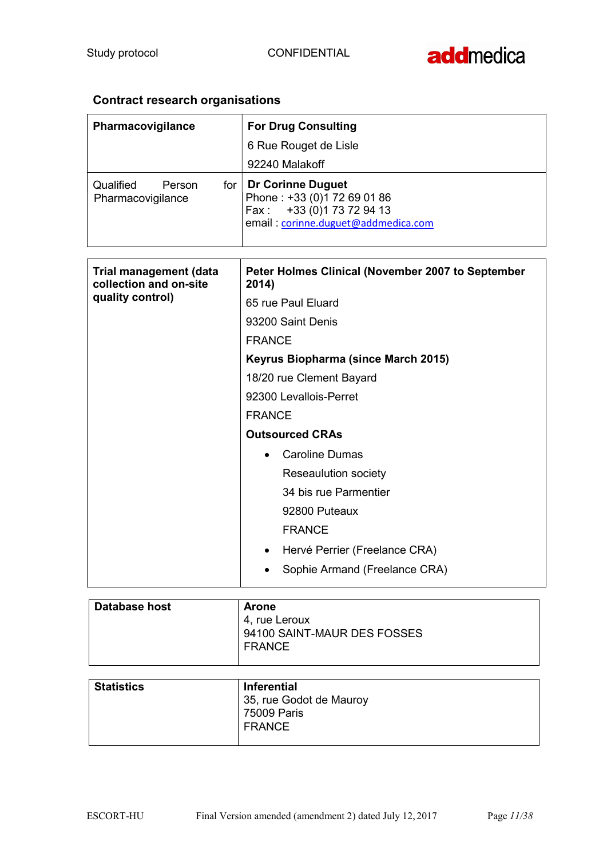## Contract research organisations

| Pharmacovigilance                                       | <b>For Drug Consulting</b>                                                                                                       |
|---------------------------------------------------------|----------------------------------------------------------------------------------------------------------------------------------|
|                                                         | 6 Rue Rouget de Lisle                                                                                                            |
|                                                         | 92240 Malakoff                                                                                                                   |
| Qualified<br>Person<br>for<br>Pharmacovigilance         | <b>Dr Corinne Duguet</b><br>Phone: +33 (0)1 72 69 01 86<br>+33 (0) 1 73 72 94 13<br>Fax:<br>email : corinne.duguet@addmedica.com |
| <b>Trial management (data</b><br>collection and on-site | Peter Holmes Clinical (November 2007 to September<br>2014)                                                                       |
| quality control)                                        | 65 rue Paul Eluard                                                                                                               |
|                                                         | 93200 Saint Denis                                                                                                                |
|                                                         | <b>FRANCE</b>                                                                                                                    |
|                                                         | Keyrus Biopharma (since March 2015)                                                                                              |
|                                                         | 18/20 rue Clement Bayard                                                                                                         |
|                                                         | 92300 Levallois-Perret                                                                                                           |
|                                                         | <b>FRANCE</b>                                                                                                                    |
|                                                         | <b>Outsourced CRAs</b>                                                                                                           |
|                                                         | <b>Caroline Dumas</b>                                                                                                            |
|                                                         | Reseaulution society                                                                                                             |
|                                                         | 34 bis rue Parmentier                                                                                                            |
|                                                         | 92800 Puteaux                                                                                                                    |
|                                                         | <b>FRANCE</b>                                                                                                                    |
|                                                         | Hervé Perrier (Freelance CRA)                                                                                                    |
|                                                         | Sophie Armand (Freelance CRA)                                                                                                    |

| Database host | <b>Arone</b>                |
|---------------|-----------------------------|
|               | 4. rue Leroux               |
|               | 94100 SAINT-MAUR DES FOSSES |
|               | <b>FRANCE</b>               |
|               |                             |

| <b>Statistics</b> | <b>Inferential</b>      |
|-------------------|-------------------------|
|                   | 35, rue Godot de Mauroy |
|                   | 75009 Paris             |
|                   | <b>FRANCE</b>           |
|                   |                         |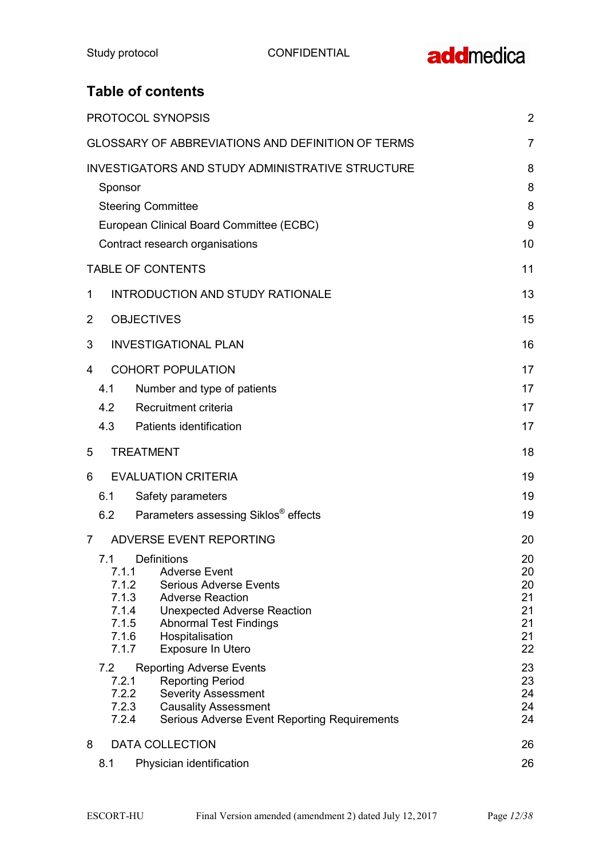## Table of contents

| PROTOCOL SYNOPSIS                                                                                                                                                                                                                                                                                                           | $\overline{2}$                                     |
|-----------------------------------------------------------------------------------------------------------------------------------------------------------------------------------------------------------------------------------------------------------------------------------------------------------------------------|----------------------------------------------------|
| <b>GLOSSARY OF ABBREVIATIONS AND DEFINITION OF TERMS</b>                                                                                                                                                                                                                                                                    | 7                                                  |
| INVESTIGATORS AND STUDY ADMINISTRATIVE STRUCTURE<br>Sponsor<br><b>Steering Committee</b><br>European Clinical Board Committee (ECBC)<br>Contract research organisations                                                                                                                                                     | 8<br>8<br>8<br>9<br>10                             |
| <b>TABLE OF CONTENTS</b>                                                                                                                                                                                                                                                                                                    | 11                                                 |
| <b>INTRODUCTION AND STUDY RATIONALE</b><br>1                                                                                                                                                                                                                                                                                | 13                                                 |
| <b>OBJECTIVES</b><br>$\overline{2}$                                                                                                                                                                                                                                                                                         | 15                                                 |
| <b>INVESTIGATIONAL PLAN</b><br>3                                                                                                                                                                                                                                                                                            | 16                                                 |
| <b>COHORT POPULATION</b><br>4<br>Number and type of patients<br>4.1<br>Recruitment criteria<br>4.2<br>4.3<br>Patients identification                                                                                                                                                                                        | 17<br>17<br>17<br>17                               |
| 5<br><b>TREATMENT</b>                                                                                                                                                                                                                                                                                                       | 18                                                 |
| <b>EVALUATION CRITERIA</b><br>6<br>6.1<br>Safety parameters<br>Parameters assessing Siklos <sup>®</sup> effects<br>6.2                                                                                                                                                                                                      | 19<br>19<br>19                                     |
| ADVERSE EVENT REPORTING<br>7<br><b>Definitions</b><br>7.1<br>7.1.1<br><b>Adverse Event</b><br>7.1.2<br><b>Serious Adverse Events</b><br>7.1.3<br><b>Adverse Reaction</b><br>7.1.4<br><b>Unexpected Adverse Reaction</b><br>7.1.5<br><b>Abnormal Test Findings</b><br>7.1.6<br>Hospitalisation<br>7.1.7<br>Exposure In Utero | 20<br>20<br>20<br>20<br>21<br>21<br>21<br>21<br>22 |
| 7.2<br><b>Reporting Adverse Events</b><br>7.2.1<br><b>Reporting Period</b><br>7.2.2<br><b>Severity Assessment</b><br>7.2.3<br><b>Causality Assessment</b><br>7.2.4<br><b>Serious Adverse Event Reporting Requirements</b>                                                                                                   | 23<br>23<br>24<br>24<br>24                         |
| 8<br><b>DATA COLLECTION</b><br>8.1<br>Physician identification                                                                                                                                                                                                                                                              | 26<br>26                                           |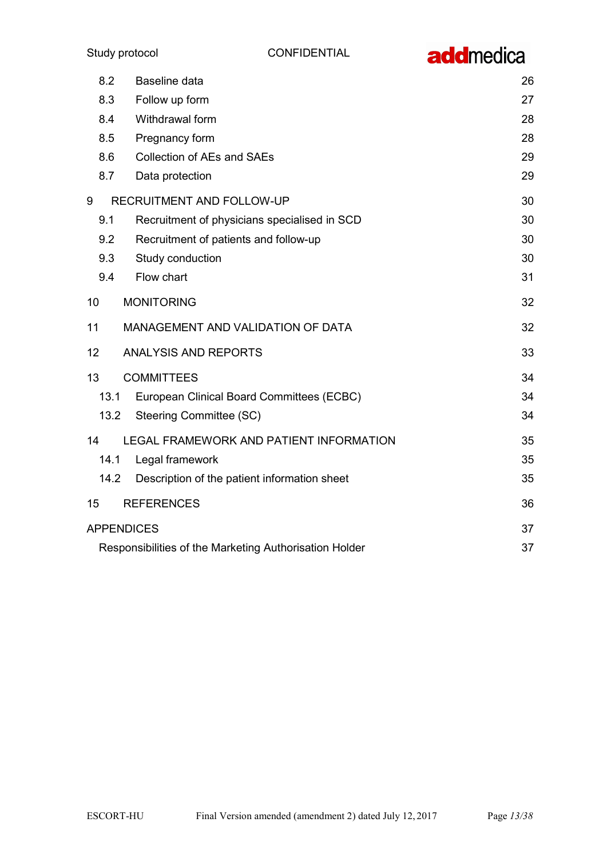

| 8.2             | Baseline data                                          | 26 |
|-----------------|--------------------------------------------------------|----|
| 8.3             | Follow up form                                         | 27 |
| 8.4             | Withdrawal form                                        | 28 |
| 8.5             | Pregnancy form                                         | 28 |
| 8.6             | <b>Collection of AEs and SAEs</b>                      | 29 |
| 8.7             | Data protection                                        | 29 |
| 9               | RECRUITMENT AND FOLLOW-UP                              | 30 |
| 9.1             | Recruitment of physicians specialised in SCD           | 30 |
| 9.2             | Recruitment of patients and follow-up                  | 30 |
| 9.3             | Study conduction                                       | 30 |
| 9.4             | Flow chart                                             | 31 |
| 10              | <b>MONITORING</b>                                      | 32 |
| 11              | MANAGEMENT AND VALIDATION OF DATA                      | 32 |
| 12 <sub>2</sub> | <b>ANALYSIS AND REPORTS</b>                            | 33 |
| 13              | <b>COMMITTEES</b>                                      | 34 |
| 13.1            | European Clinical Board Committees (ECBC)              | 34 |
| 13.2            | <b>Steering Committee (SC)</b>                         | 34 |
| 14              | LEGAL FRAMEWORK AND PATIENT INFORMATION                | 35 |
| 14.1            | Legal framework                                        | 35 |
| 14.2            | Description of the patient information sheet           | 35 |
| 15              | <b>REFERENCES</b>                                      | 36 |
|                 | <b>APPENDICES</b>                                      | 37 |
|                 | Responsibilities of the Marketing Authorisation Holder | 37 |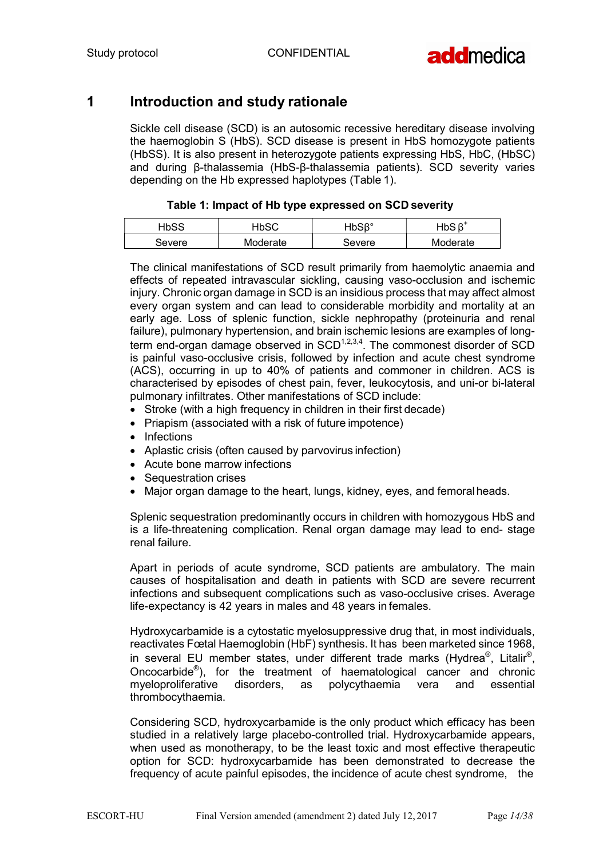

## 1 Introduction and study rationale

Sickle cell disease (SCD) is an autosomic recessive hereditary disease involving the haemoglobin S (HbS). SCD disease is present in HbS homozygote patients (HbSS). It is also present in heterozygote patients expressing HbS, HbC, (HbSC) and during β-thalassemia (HbS-β-thalassemia patients). SCD severity varies depending on the Hb expressed haplotypes (Table 1).

|  |  |  |  | Table 1: Impact of Hb type expressed on SCD severity |
|--|--|--|--|------------------------------------------------------|
|--|--|--|--|------------------------------------------------------|

| コトワし   | <b>-IbSC</b> | JACP°<br>10 U N | ートい<br>INV |
|--------|--------------|-----------------|------------|
| Severe | Moderate     | Severe          | Moderate   |

The clinical manifestations of SCD result primarily from haemolytic anaemia and effects of repeated intravascular sickling, causing vaso-occlusion and ischemic injury. Chronic organ damage in SCD is an insidious process that may affect almost every organ system and can lead to considerable morbidity and mortality at an early age. Loss of splenic function, sickle nephropathy (proteinuria and renal failure), pulmonary hypertension, and brain ischemic lesions are examples of longterm end-organ damage observed in  $SCD<sup>1,2,3,4</sup>$ . The commonest disorder of SCD is painful vaso-occlusive crisis, followed by infection and acute chest syndrome (ACS), occurring in up to 40% of patients and commoner in children. ACS is characterised by episodes of chest pain, fever, leukocytosis, and uni-or bi-lateral pulmonary infiltrates. Other manifestations of SCD include:

- Stroke (with a high frequency in children in their first decade)
- Priapism (associated with a risk of future impotence)
- Infections
- Aplastic crisis (often caused by parvovirus infection)
- Acute bone marrow infections
- Sequestration crises
- Major organ damage to the heart, lungs, kidney, eyes, and femoral heads.

Splenic sequestration predominantly occurs in children with homozygous HbS and is a life-threatening complication. Renal organ damage may lead to end- stage renal failure.

Apart in periods of acute syndrome, SCD patients are ambulatory. The main causes of hospitalisation and death in patients with SCD are severe recurrent infections and subsequent complications such as vaso-occlusive crises. Average life-expectancy is 42 years in males and 48 years in females.

Hydroxycarbamide is a cytostatic myelosuppressive drug that, in most individuals, reactivates Fœtal Haemoglobin (HbF) synthesis. It has been marketed since 1968, in several EU member states, under different trade marks (Hydrea®, Litalir®, Oncocarbide® ), for the treatment of haematological cancer and chronic myeloproliferative disorders, as polycythaemia vera and essential thrombocythaemia.

Considering SCD, hydroxycarbamide is the only product which efficacy has been studied in a relatively large placebo-controlled trial. Hydroxycarbamide appears, when used as monotherapy, to be the least toxic and most effective therapeutic option for SCD: hydroxycarbamide has been demonstrated to decrease the frequency of acute painful episodes, the incidence of acute chest syndrome, the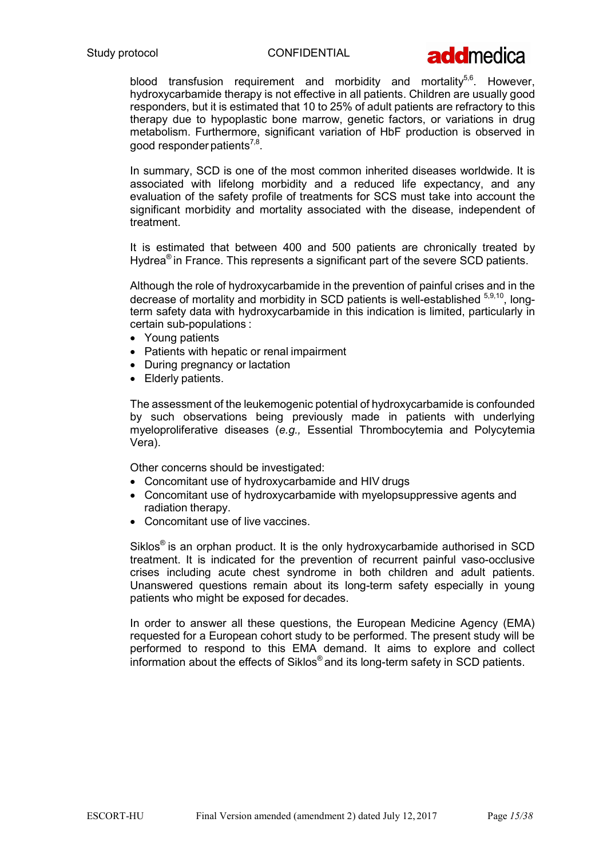

blood transfusion requirement and morbidity and mortality<sup>5,6</sup>. However, hydroxycarbamide therapy is not effective in all patients. Children are usually good responders, but it is estimated that 10 to 25% of adult patients are refractory to this therapy due to hypoplastic bone marrow, genetic factors, or variations in drug metabolism. Furthermore, significant variation of HbF production is observed in good responder patients $^{7,8}.$ 

In summary, SCD is one of the most common inherited diseases worldwide. It is associated with lifelong morbidity and a reduced life expectancy, and any evaluation of the safety profile of treatments for SCS must take into account the significant morbidity and mortality associated with the disease, independent of treatment.

It is estimated that between 400 and 500 patients are chronically treated by Hydrea<sup>®</sup> in France. This represents a significant part of the severe SCD patients.

Although the role of hydroxycarbamide in the prevention of painful crises and in the decrease of mortality and morbidity in SCD patients is well-established  $5,9,10$ . longterm safety data with hydroxycarbamide in this indication is limited, particularly in certain sub-populations :

- Young patients
- Patients with hepatic or renal impairment
- During pregnancy or lactation
- Elderly patients.

The assessment of the leukemogenic potential of hydroxycarbamide is confounded by such observations being previously made in patients with underlying myeloproliferative diseases (e.g., Essential Thrombocytemia and Polycytemia Vera).

Other concerns should be investigated:

- Concomitant use of hydroxycarbamide and HIV drugs
- Concomitant use of hydroxycarbamide with myelopsuppressive agents and radiation therapy.
- Concomitant use of live vaccines.

Siklos® is an orphan product. It is the only hydroxycarbamide authorised in SCD treatment. It is indicated for the prevention of recurrent painful vaso-occlusive crises including acute chest syndrome in both children and adult patients. Unanswered questions remain about its long-term safety especially in young patients who might be exposed for decades.

In order to answer all these questions, the European Medicine Agency (EMA) requested for a European cohort study to be performed. The present study will be performed to respond to this EMA demand. It aims to explore and collect information about the effects of Siklos® and its long-term safety in SCD patients.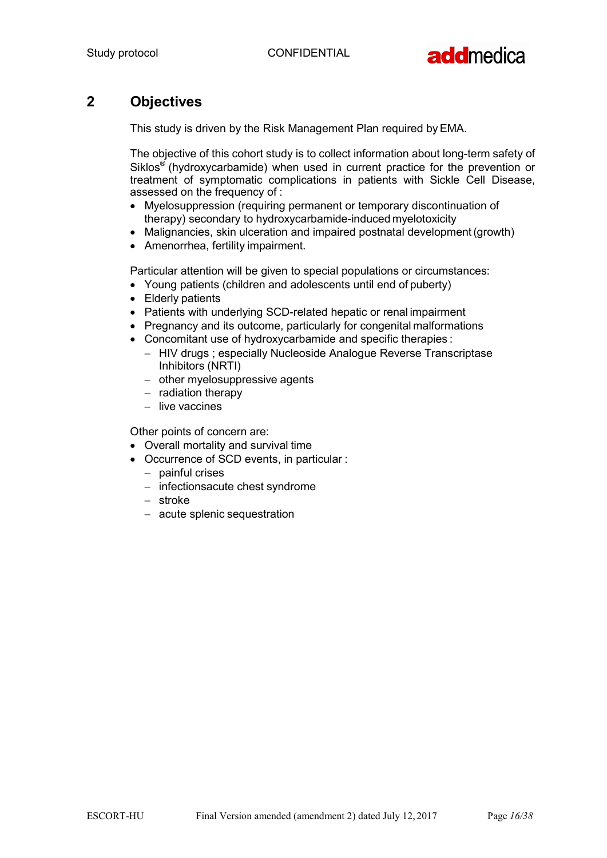

## 2 Objectives

This study is driven by the Risk Management Plan required by EMA.

The objective of this cohort study is to collect information about long-term safety of Siklos® (hydroxycarbamide) when used in current practice for the prevention or treatment of symptomatic complications in patients with Sickle Cell Disease, assessed on the frequency of :

- Myelosuppression (requiring permanent or temporary discontinuation of therapy) secondary to hydroxycarbamide-induced myelotoxicity
- Malignancies, skin ulceration and impaired postnatal development (growth)
- Amenorrhea, fertility impairment.

Particular attention will be given to special populations or circumstances:

- Young patients (children and adolescents until end of puberty)
- Elderly patients
- Patients with underlying SCD-related hepatic or renal impairment
- Pregnancy and its outcome, particularly for congenital malformations
- Concomitant use of hydroxycarbamide and specific therapies :
	- HIV drugs ; especially Nucleoside Analogue Reverse Transcriptase Inhibitors (NRTI)
	- $-$  other myelosuppressive agents
	- $-$  radiation therapy
	- $-$  live vaccines

Other points of concern are:

- Overall mortality and survival time
- Occurrence of SCD events, in particular :
	- $-$  painful crises
	- $-$  infectionsacute chest syndrome
	- stroke
	- acute splenic sequestration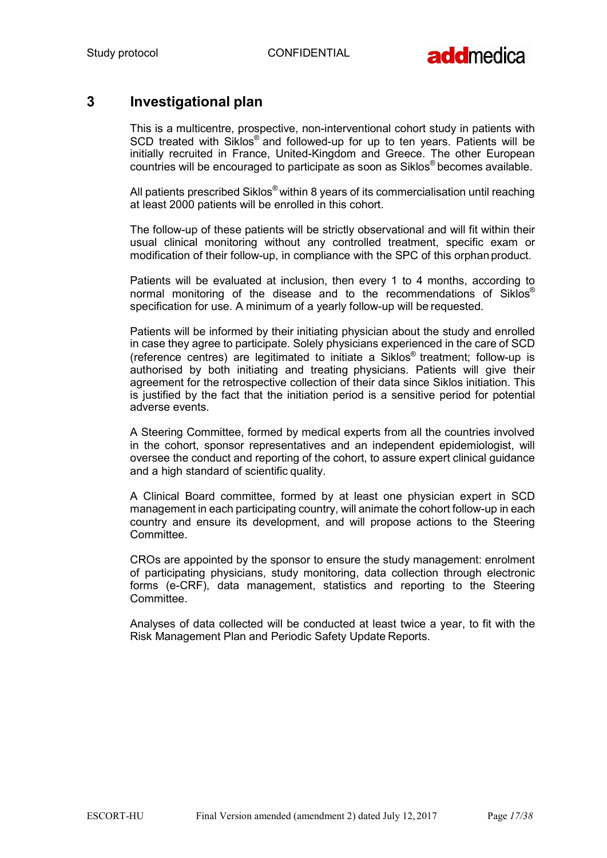

## 3 Investigational plan

This is a multicentre, prospective, non-interventional cohort study in patients with SCD treated with Siklos® and followed-up for up to ten years. Patients will be initially recruited in France, United-Kingdom and Greece. The other European countries will be encouraged to participate as soon as Siklos® becomes available.

All patients prescribed Siklos® within 8 years of its commercialisation until reaching at least 2000 patients will be enrolled in this cohort.

The follow-up of these patients will be strictly observational and will fit within their usual clinical monitoring without any controlled treatment, specific exam or modification of their follow-up, in compliance with the SPC of this orphan product.

Patients will be evaluated at inclusion, then every 1 to 4 months, according to normal monitoring of the disease and to the recommendations of Siklos® specification for use. A minimum of a yearly follow-up will be requested.

Patients will be informed by their initiating physician about the study and enrolled in case they agree to participate. Solely physicians experienced in the care of SCD (reference centres) are legitimated to initiate a Siklos® treatment; follow-up is authorised by both initiating and treating physicians. Patients will give their agreement for the retrospective collection of their data since Siklos initiation. This is justified by the fact that the initiation period is a sensitive period for potential adverse events.

A Steering Committee, formed by medical experts from all the countries involved in the cohort, sponsor representatives and an independent epidemiologist, will oversee the conduct and reporting of the cohort, to assure expert clinical guidance and a high standard of scientific quality.

A Clinical Board committee, formed by at least one physician expert in SCD management in each participating country, will animate the cohort follow-up in each country and ensure its development, and will propose actions to the Steering **Committee** 

CROs are appointed by the sponsor to ensure the study management: enrolment of participating physicians, study monitoring, data collection through electronic forms (e-CRF), data management, statistics and reporting to the Steering Committee.

Analyses of data collected will be conducted at least twice a year, to fit with the Risk Management Plan and Periodic Safety Update Reports.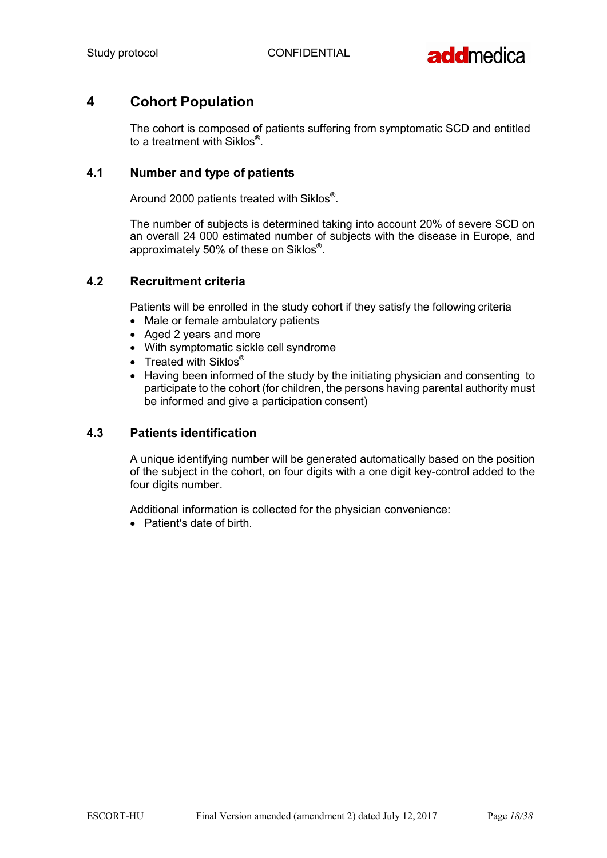

## 4 Cohort Population

The cohort is composed of patients suffering from symptomatic SCD and entitled to a treatment with Siklos $^\circledR$ .

## 4.1 Number and type of patients

Around 2000 patients treated with Siklos $^\circ$ .

The number of subjects is determined taking into account 20% of severe SCD on an overall 24 000 estimated number of subjects with the disease in Europe, and approximately 50% of these on Siklos $^\circ$ .

### 4.2 Recruitment criteria

Patients will be enrolled in the study cohort if they satisfy the following criteria

- Male or female ambulatory patients
- Aged 2 years and more
- With symptomatic sickle cell syndrome
- Treated with Siklos<sup>®</sup>
- Having been informed of the study by the initiating physician and consenting to participate to the cohort (for children, the persons having parental authority must be informed and give a participation consent)

#### 4.3 Patients identification

A unique identifying number will be generated automatically based on the position of the subject in the cohort, on four digits with a one digit key-control added to the four digits number.

Additional information is collected for the physician convenience:

• Patient's date of birth.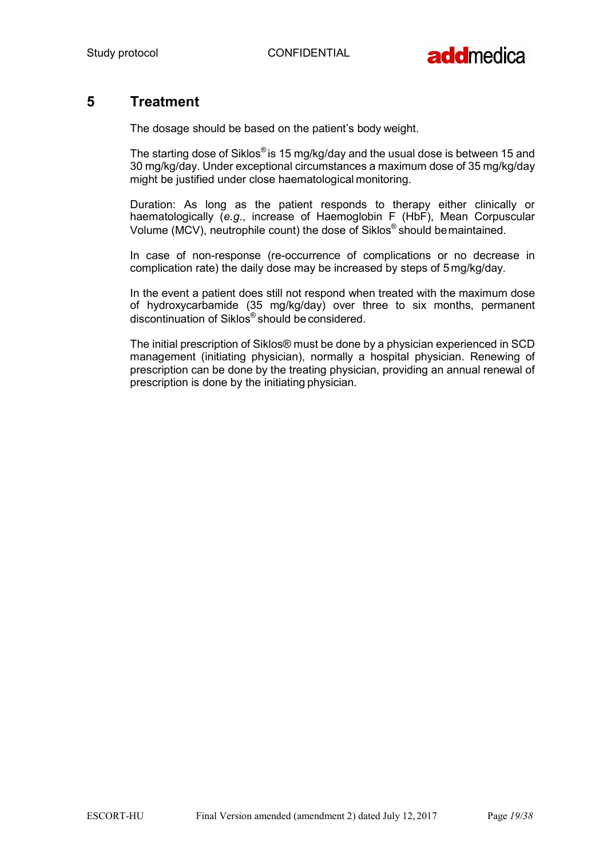

## 5 Treatment

The dosage should be based on the patient's body weight.

The starting dose of Siklos<sup>®</sup> is 15 mg/kg/day and the usual dose is between 15 and 30 mg/kg/day. Under exceptional circumstances a maximum dose of 35 mg/kg/day might be justified under close haematological monitoring.

Duration: As long as the patient responds to therapy either clinically or haematologically (e.g., increase of Haemoglobin F (HbF), Mean Corpuscular Volume (MCV), neutrophile count) the dose of Siklos® should be maintained.

In case of non-response (re-occurrence of complications or no decrease in complication rate) the daily dose may be increased by steps of 5 mg/kg/day.

In the event a patient does still not respond when treated with the maximum dose of hydroxycarbamide (35 mg/kg/day) over three to six months, permanent discontinuation of Siklos® should be considered.

The initial prescription of Siklos® must be done by a physician experienced in SCD management (initiating physician), normally a hospital physician. Renewing of prescription can be done by the treating physician, providing an annual renewal of prescription is done by the initiating physician.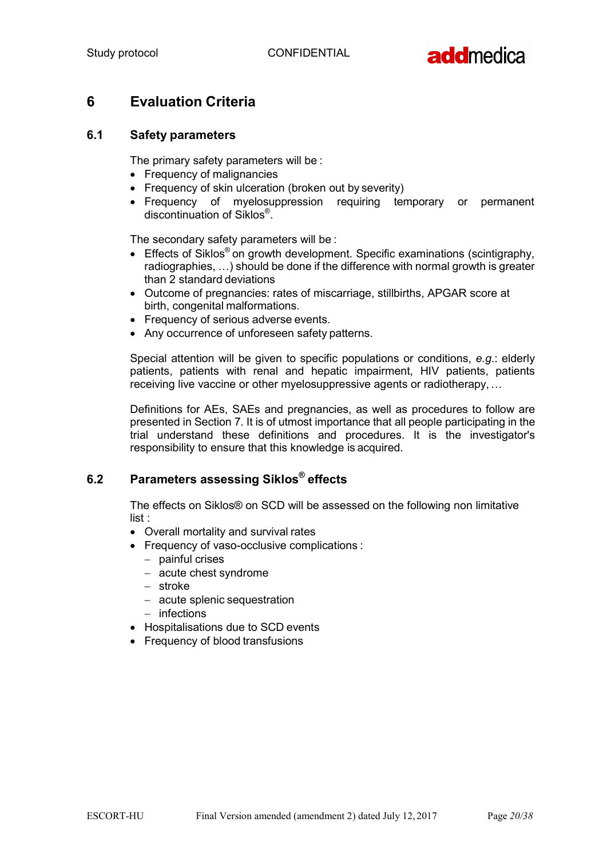

## 6 Evaluation Criteria

## 6.1 Safety parameters

The primary safety parameters will be :

- Frequency of malignancies
- Frequency of skin ulceration (broken out by severity)
- Frequency of myelosuppression requiring temporary or permanent discontinuation of Siklos® .

The secondary safety parameters will be :

- Effects of Siklos<sup>®</sup> on growth development. Specific examinations (scintigraphy, radiographies, …) should be done if the difference with normal growth is greater than 2 standard deviations
- Outcome of pregnancies: rates of miscarriage, stillbirths, APGAR score at birth, congenital malformations.
- Frequency of serious adverse events.
- Any occurrence of unforeseen safety patterns.

Special attention will be given to specific populations or conditions, e.g.: elderly patients, patients with renal and hepatic impairment, HIV patients, patients receiving live vaccine or other myelosuppressive agents or radiotherapy, …

Definitions for AEs, SAEs and pregnancies, as well as procedures to follow are presented in Section 7. It is of utmost importance that all people participating in the trial understand these definitions and procedures. It is the investigator's responsibility to ensure that this knowledge is acquired.

## 6.2 Parameters assessing Siklos® effects

The effects on Siklos® on SCD will be assessed on the following non limitative list :

- Overall mortality and survival rates
- Frequency of vaso-occlusive complications :
	- $-$  painful crises
	- acute chest syndrome
	- stroke
	- acute splenic sequestration
	- $-$  infections
- Hospitalisations due to SCD events
- Frequency of blood transfusions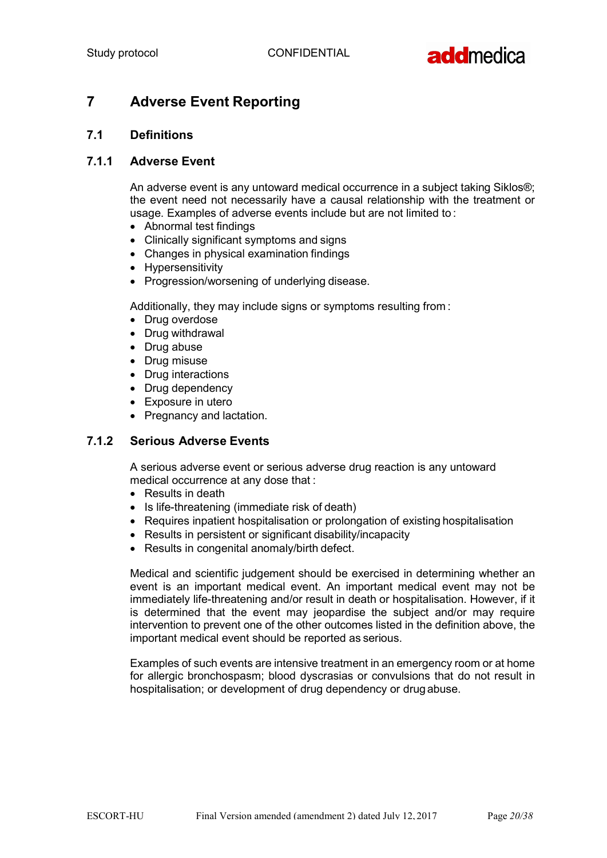

## 7 Adverse Event Reporting

## 7.1 Definitions

#### 7.1.1 Adverse Event

An adverse event is any untoward medical occurrence in a subject taking Siklos®; the event need not necessarily have a causal relationship with the treatment or usage. Examples of adverse events include but are not limited to :

- Abnormal test findings
- Clinically significant symptoms and signs
- Changes in physical examination findings
- Hypersensitivity
- Progression/worsening of underlying disease.

Additionally, they may include signs or symptoms resulting from :

- Drug overdose
- Drug withdrawal
- Drug abuse
- Drug misuse
- Drug interactions
- Drug dependency
- Exposure in utero
- Pregnancy and lactation.

## 7.1.2 Serious Adverse Events

A serious adverse event or serious adverse drug reaction is any untoward medical occurrence at any dose that :

- Results in death
- Is life-threatening (immediate risk of death)
- Requires inpatient hospitalisation or prolongation of existing hospitalisation
- Results in persistent or significant disability/incapacity
- Results in congenital anomaly/birth defect.

Medical and scientific judgement should be exercised in determining whether an event is an important medical event. An important medical event may not be immediately life-threatening and/or result in death or hospitalisation. However, if it is determined that the event may jeopardise the subject and/or may require intervention to prevent one of the other outcomes listed in the definition above, the important medical event should be reported as serious.

Examples of such events are intensive treatment in an emergency room or at home for allergic bronchospasm; blood dyscrasias or convulsions that do not result in hospitalisation; or development of drug dependency or drug abuse.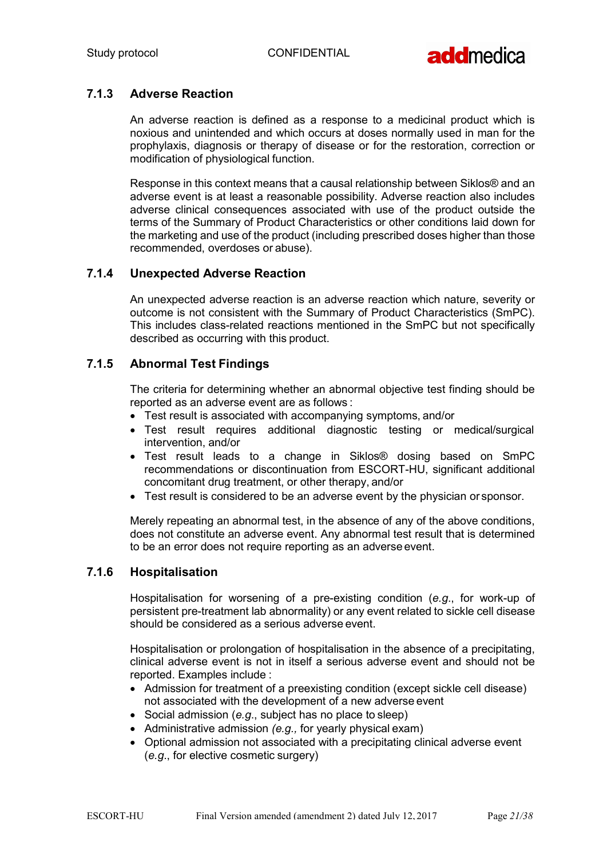

## 7.1.3 Adverse Reaction

An adverse reaction is defined as a response to a medicinal product which is noxious and unintended and which occurs at doses normally used in man for the prophylaxis, diagnosis or therapy of disease or for the restoration, correction or modification of physiological function.

Response in this context means that a causal relationship between Siklos® and an adverse event is at least a reasonable possibility. Adverse reaction also includes adverse clinical consequences associated with use of the product outside the terms of the Summary of Product Characteristics or other conditions laid down for the marketing and use of the product (including prescribed doses higher than those recommended, overdoses or abuse).

## 7.1.4 Unexpected Adverse Reaction

An unexpected adverse reaction is an adverse reaction which nature, severity or outcome is not consistent with the Summary of Product Characteristics (SmPC). This includes class-related reactions mentioned in the SmPC but not specifically described as occurring with this product.

## 7.1.5 Abnormal Test Findings

The criteria for determining whether an abnormal objective test finding should be reported as an adverse event are as follows :

- Test result is associated with accompanying symptoms, and/or
- Test result requires additional diagnostic testing or medical/surgical intervention, and/or
- Test result leads to a change in Siklos® dosing based on SmPC recommendations or discontinuation from ESCORT-HU, significant additional concomitant drug treatment, or other therapy, and/or
- Test result is considered to be an adverse event by the physician or sponsor.

Merely repeating an abnormal test, in the absence of any of the above conditions, does not constitute an adverse event. Any abnormal test result that is determined to be an error does not require reporting as an adverse event.

#### 7.1.6 Hospitalisation

Hospitalisation for worsening of a pre-existing condition (e.g., for work-up of persistent pre-treatment lab abnormality) or any event related to sickle cell disease should be considered as a serious adverse event.

Hospitalisation or prolongation of hospitalisation in the absence of a precipitating, clinical adverse event is not in itself a serious adverse event and should not be reported. Examples include :

- Admission for treatment of a preexisting condition (except sickle cell disease) not associated with the development of a new adverse event
- Social admission (e.g., subject has no place to sleep)
- Administrative admission  $(e.g., for yearly physical exam)$
- Optional admission not associated with a precipitating clinical adverse event (e.g., for elective cosmetic surgery)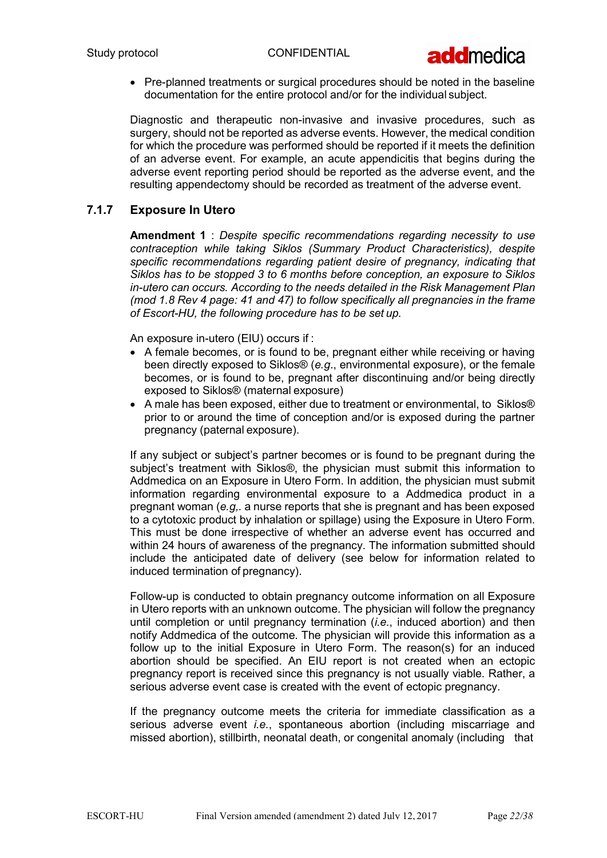

• Pre-planned treatments or surgical procedures should be noted in the baseline documentation for the entire protocol and/or for the individual subject.

Diagnostic and therapeutic non-invasive and invasive procedures, such as surgery, should not be reported as adverse events. However, the medical condition for which the procedure was performed should be reported if it meets the definition of an adverse event. For example, an acute appendicitis that begins during the adverse event reporting period should be reported as the adverse event, and the resulting appendectomy should be recorded as treatment of the adverse event.

## 7.1.7 Exposure In Utero

Amendment 1 : Despite specific recommendations regarding necessity to use contraception while taking Siklos (Summary Product Characteristics), despite specific recommendations regarding patient desire of pregnancy, indicating that Siklos has to be stopped 3 to 6 months before conception, an exposure to Siklos in-utero can occurs. According to the needs detailed in the Risk Management Plan (mod 1.8 Rev 4 page: 41 and 47) to follow specifically all pregnancies in the frame of Escort-HU, the following procedure has to be set up.

An exposure in-utero (EIU) occurs if :

- A female becomes, or is found to be, pregnant either while receiving or having been directly exposed to Siklos® (e.g., environmental exposure), or the female becomes, or is found to be, pregnant after discontinuing and/or being directly exposed to Siklos® (maternal exposure)
- A male has been exposed, either due to treatment or environmental, to Siklos® prior to or around the time of conception and/or is exposed during the partner pregnancy (paternal exposure).

If any subject or subject's partner becomes or is found to be pregnant during the subject's treatment with Siklos®, the physician must submit this information to Addmedica on an Exposure in Utero Form. In addition, the physician must submit information regarding environmental exposure to a Addmedica product in a pregnant woman (e.g,. a nurse reports that she is pregnant and has been exposed to a cytotoxic product by inhalation or spillage) using the Exposure in Utero Form. This must be done irrespective of whether an adverse event has occurred and within 24 hours of awareness of the pregnancy. The information submitted should include the anticipated date of delivery (see below for information related to induced termination of pregnancy).

Follow-up is conducted to obtain pregnancy outcome information on all Exposure in Utero reports with an unknown outcome. The physician will follow the pregnancy until completion or until pregnancy termination (*i.e.*, induced abortion) and then notify Addmedica of the outcome. The physician will provide this information as a follow up to the initial Exposure in Utero Form. The reason(s) for an induced abortion should be specified. An EIU report is not created when an ectopic pregnancy report is received since this pregnancy is not usually viable. Rather, a serious adverse event case is created with the event of ectopic pregnancy.

If the pregnancy outcome meets the criteria for immediate classification as a serious adverse event *i.e.*, spontaneous abortion (including miscarriage and missed abortion), stillbirth, neonatal death, or congenital anomaly (including that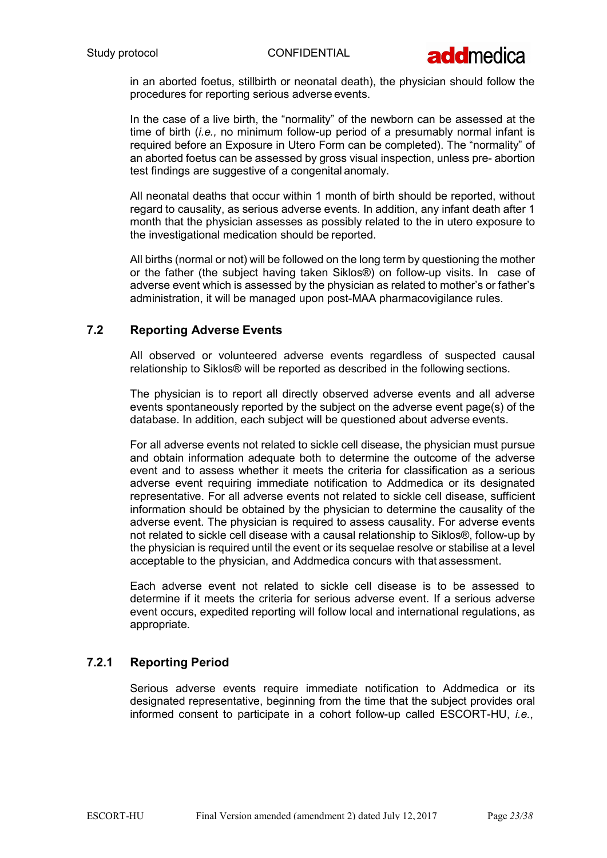

in an aborted foetus, stillbirth or neonatal death), the physician should follow the procedures for reporting serious adverse events.

In the case of a live birth, the "normality" of the newborn can be assessed at the time of birth (*i.e.*, no minimum follow-up period of a presumably normal infant is required before an Exposure in Utero Form can be completed). The "normality" of an aborted foetus can be assessed by gross visual inspection, unless pre- abortion test findings are suggestive of a congenital anomaly.

All neonatal deaths that occur within 1 month of birth should be reported, without regard to causality, as serious adverse events. In addition, any infant death after 1 month that the physician assesses as possibly related to the in utero exposure to the investigational medication should be reported.

All births (normal or not) will be followed on the long term by questioning the mother or the father (the subject having taken Siklos®) on follow-up visits. In case of adverse event which is assessed by the physician as related to mother's or father's administration, it will be managed upon post-MAA pharmacovigilance rules.

## 7.2 Reporting Adverse Events

All observed or volunteered adverse events regardless of suspected causal relationship to Siklos® will be reported as described in the following sections.

The physician is to report all directly observed adverse events and all adverse events spontaneously reported by the subject on the adverse event page(s) of the database. In addition, each subject will be questioned about adverse events.

For all adverse events not related to sickle cell disease, the physician must pursue and obtain information adequate both to determine the outcome of the adverse event and to assess whether it meets the criteria for classification as a serious adverse event requiring immediate notification to Addmedica or its designated representative. For all adverse events not related to sickle cell disease, sufficient information should be obtained by the physician to determine the causality of the adverse event. The physician is required to assess causality. For adverse events not related to sickle cell disease with a causal relationship to Siklos®, follow-up by the physician is required until the event or its sequelae resolve or stabilise at a level acceptable to the physician, and Addmedica concurs with that assessment.

Each adverse event not related to sickle cell disease is to be assessed to determine if it meets the criteria for serious adverse event. If a serious adverse event occurs, expedited reporting will follow local and international regulations, as appropriate.

## 7.2.1 Reporting Period

Serious adverse events require immediate notification to Addmedica or its designated representative, beginning from the time that the subject provides oral informed consent to participate in a cohort follow-up called ESCORT-HU, i.e.,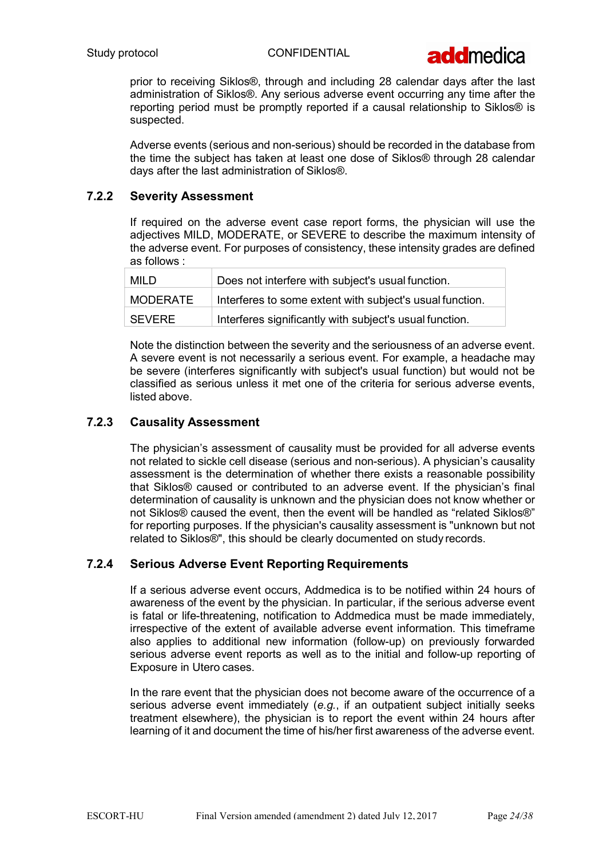

prior to receiving Siklos®, through and including 28 calendar days after the last administration of Siklos®. Any serious adverse event occurring any time after the reporting period must be promptly reported if a causal relationship to Siklos® is suspected.

Adverse events (serious and non-serious) should be recorded in the database from the time the subject has taken at least one dose of Siklos® through 28 calendar days after the last administration of Siklos®.

## 7.2.2 Severity Assessment

If required on the adverse event case report forms, the physician will use the adjectives MILD, MODERATE, or SEVERE to describe the maximum intensity of the adverse event. For purposes of consistency, these intensity grades are defined as follows :

| <b>MILD</b> | Does not interfere with subject's usual function.        |
|-------------|----------------------------------------------------------|
| MODERATE    | Interferes to some extent with subject's usual function. |
| SEVERE      | Interferes significantly with subject's usual function.  |

Note the distinction between the severity and the seriousness of an adverse event. A severe event is not necessarily a serious event. For example, a headache may be severe (interferes significantly with subject's usual function) but would not be classified as serious unless it met one of the criteria for serious adverse events, listed above.

### 7.2.3 Causality Assessment

The physician's assessment of causality must be provided for all adverse events not related to sickle cell disease (serious and non-serious). A physician's causality assessment is the determination of whether there exists a reasonable possibility that Siklos® caused or contributed to an adverse event. If the physician's final determination of causality is unknown and the physician does not know whether or not Siklos® caused the event, then the event will be handled as "related Siklos®" for reporting purposes. If the physician's causality assessment is "unknown but not related to Siklos®", this should be clearly documented on study records.

#### 7.2.4 Serious Adverse Event Reporting Requirements

If a serious adverse event occurs, Addmedica is to be notified within 24 hours of awareness of the event by the physician. In particular, if the serious adverse event is fatal or life-threatening, notification to Addmedica must be made immediately, irrespective of the extent of available adverse event information. This timeframe also applies to additional new information (follow-up) on previously forwarded serious adverse event reports as well as to the initial and follow-up reporting of Exposure in Utero cases.

In the rare event that the physician does not become aware of the occurrence of a serious adverse event immediately (e.g., if an outpatient subject initially seeks treatment elsewhere), the physician is to report the event within 24 hours after learning of it and document the time of his/her first awareness of the adverse event.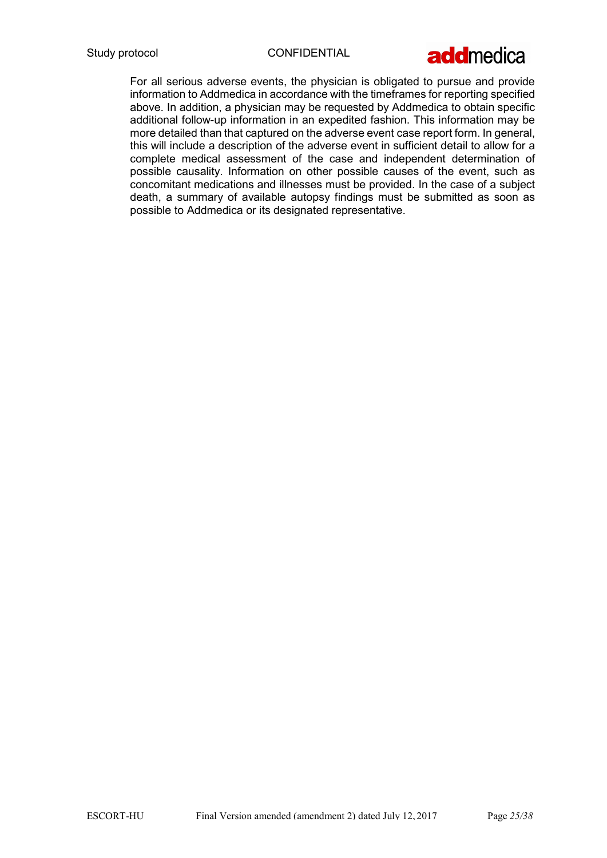

For all serious adverse events, the physician is obligated to pursue and provide information to Addmedica in accordance with the timeframes for reporting specified above. In addition, a physician may be requested by Addmedica to obtain specific additional follow-up information in an expedited fashion. This information may be more detailed than that captured on the adverse event case report form. In general, this will include a description of the adverse event in sufficient detail to allow for a complete medical assessment of the case and independent determination of possible causality. Information on other possible causes of the event, such as concomitant medications and illnesses must be provided. In the case of a subject death, a summary of available autopsy findings must be submitted as soon as possible to Addmedica or its designated representative.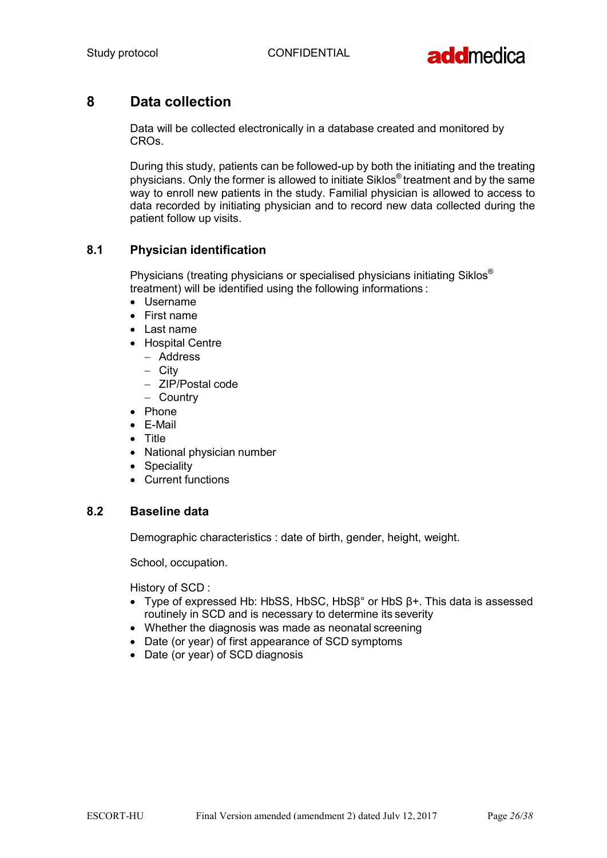

## 8 Data collection

Data will be collected electronically in a database created and monitored by CROs.

During this study, patients can be followed-up by both the initiating and the treating physicians. Only the former is allowed to initiate Siklos® treatment and by the same way to enroll new patients in the study. Familial physician is allowed to access to data recorded by initiating physician and to record new data collected during the patient follow up visits.

## 8.1 Physician identification

Physicians (treating physicians or specialised physicians initiating Siklos® treatment) will be identified using the following informations :

- Username
- First name
- Last name
- Hospital Centre
	- Address
	- City
	- ZIP/Postal code
	- Country
- Phone
- E-Mail
- Title
- National physician number
- Speciality
- Current functions

## 8.2 Baseline data

Demographic characteristics : date of birth, gender, height, weight.

School, occupation.

History of SCD :

- Type of expressed Hb: HbSS, HbSC, HbSβ° or HbS β+. This data is assessed routinely in SCD and is necessary to determine its severity
- Whether the diagnosis was made as neonatal screening
- Date (or year) of first appearance of SCD symptoms
- Date (or year) of SCD diagnosis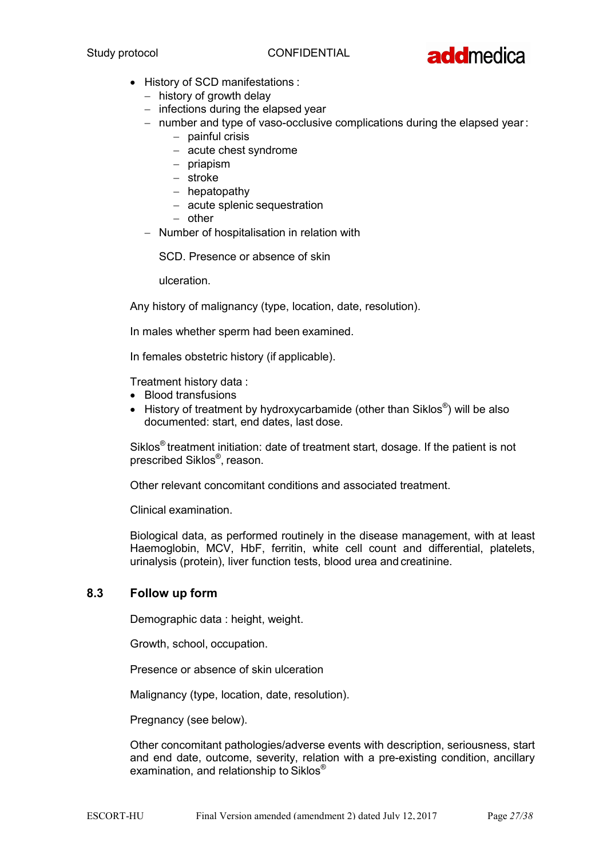

- History of SCD manifestations :
	- $-$  history of growth delay
	- $-$  infections during the elapsed year
	- $-$  number and type of vaso-occlusive complications during the elapsed year:
		- $-$  painful crisis
			- acute chest syndrome
			- $-$  priapism
			- stroke
			- $-$  hepatopathy
			- acute splenic sequestration
			- $-$  other
	- Number of hospitalisation in relation with

SCD. Presence or absence of skin

ulceration.

Any history of malignancy (type, location, date, resolution).

In males whether sperm had been examined.

In females obstetric history (if applicable).

Treatment history data :

- Blood transfusions
- **•** History of treatment by hydroxycarbamide (other than Siklos<sup>®</sup>) will be also documented: start, end dates, last dose.

Siklos® treatment initiation: date of treatment start, dosage. If the patient is not prescribed Siklos<sup>®</sup>, reason.

Other relevant concomitant conditions and associated treatment.

Clinical examination.

Biological data, as performed routinely in the disease management, with at least Haemoglobin, MCV, HbF, ferritin, white cell count and differential, platelets, urinalysis (protein), liver function tests, blood urea and creatinine.

#### 8.3 Follow up form

Demographic data : height, weight.

Growth, school, occupation.

Presence or absence of skin ulceration

Malignancy (type, location, date, resolution).

Pregnancy (see below).

Other concomitant pathologies/adverse events with description, seriousness, start and end date, outcome, severity, relation with a pre-existing condition, ancillary examination, and relationship to Siklos®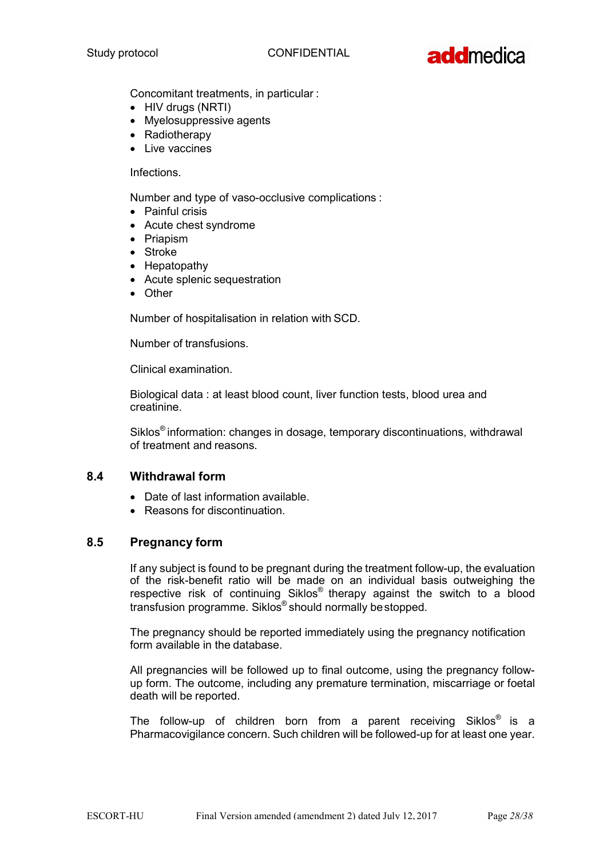

Concomitant treatments, in particular :

- HIV drugs (NRTI)
- Myelosuppressive agents
- Radiotherapv
- Live vaccines

Infections.

Number and type of vaso-occlusive complications :

- Painful crisis
- Acute chest syndrome
- Priapism
- Stroke
- Hepatopathy
- Acute splenic sequestration
- Other

Number of hospitalisation in relation with SCD.

Number of transfusions.

Clinical examination.

Biological data : at least blood count, liver function tests, blood urea and creatinine.

Siklos® information: changes in dosage, temporary discontinuations, withdrawal of treatment and reasons.

## 8.4 Withdrawal form

- Date of last information available.
- Reasons for discontinuation.

#### 8.5 Pregnancy form

If any subject is found to be pregnant during the treatment follow-up, the evaluation of the risk-benefit ratio will be made on an individual basis outweighing the respective risk of continuing Siklos® therapy against the switch to a blood transfusion programme. Siklos® should normally be stopped.

The pregnancy should be reported immediately using the pregnancy notification form available in the database.

All pregnancies will be followed up to final outcome, using the pregnancy followup form. The outcome, including any premature termination, miscarriage or foetal death will be reported.

The follow-up of children born from a parent receiving Siklos® is a Pharmacovigilance concern. Such children will be followed-up for at least one year.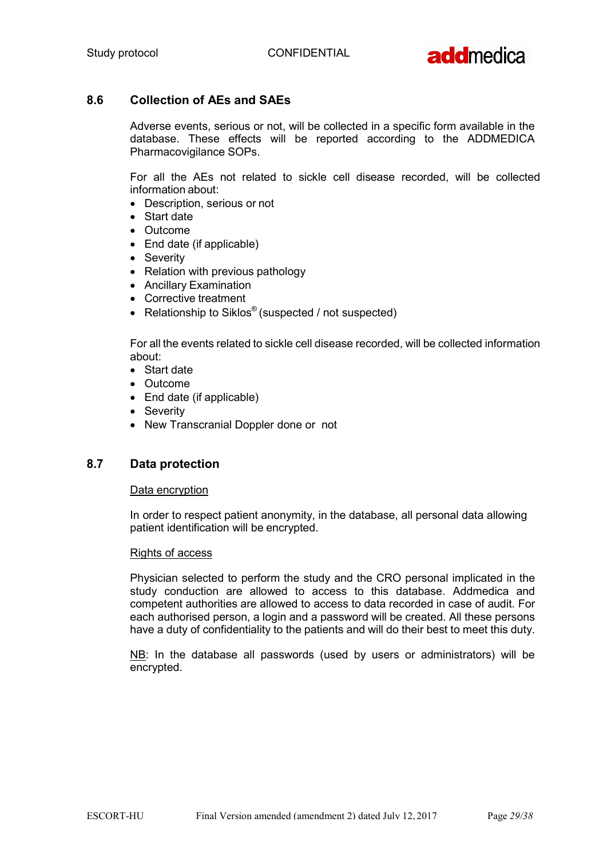

## 8.6 Collection of AEs and SAEs

Adverse events, serious or not, will be collected in a specific form available in the database. These effects will be reported according to the ADDMEDICA Pharmacovigilance SOPs.

For all the AEs not related to sickle cell disease recorded, will be collected information about:

- Description, serious or not
- Start date
- Outcome
- End date (if applicable)
- Severity
- Relation with previous pathology
- Ancillary Examination
- Corrective treatment
- Relationship to Siklos® (suspected / not suspected)

For all the events related to sickle cell disease recorded, will be collected information about:

- Start date
- Outcome
- End date (if applicable)
- Severity
- New Transcranial Doppler done or not

#### 8.7 Data protection

#### Data encryption

In order to respect patient anonymity, in the database, all personal data allowing patient identification will be encrypted.

#### Rights of access

Physician selected to perform the study and the CRO personal implicated in the study conduction are allowed to access to this database. Addmedica and competent authorities are allowed to access to data recorded in case of audit. For each authorised person, a login and a password will be created. All these persons have a duty of confidentiality to the patients and will do their best to meet this duty.

NB: In the database all passwords (used by users or administrators) will be encrypted.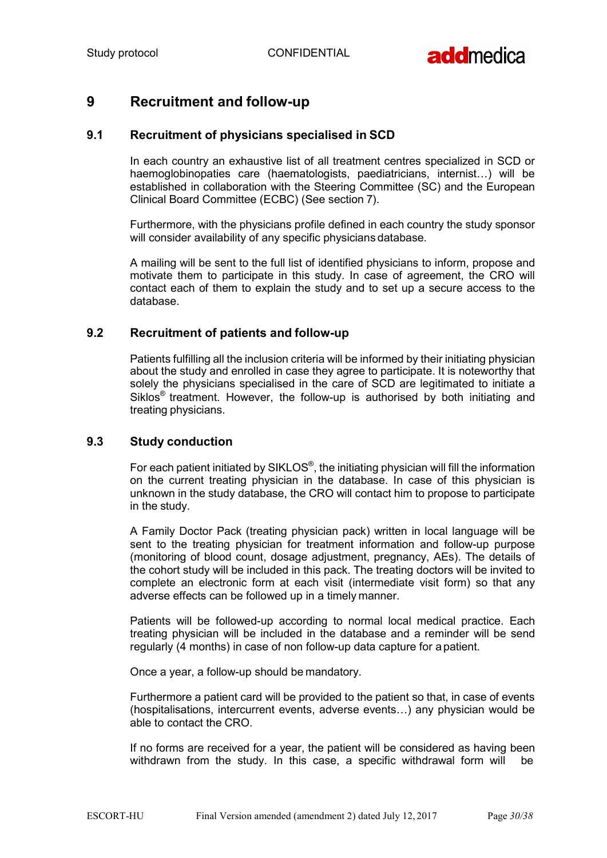

## 9 Recruitment and follow-up

### 9.1 Recruitment of physicians specialised in SCD

In each country an exhaustive list of all treatment centres specialized in SCD or haemoglobinopaties care (haematologists, paediatricians, internist…) will be established in collaboration with the Steering Committee (SC) and the European Clinical Board Committee (ECBC) (See section 7).

Furthermore, with the physicians profile defined in each country the study sponsor will consider availability of any specific physicians database.

A mailing will be sent to the full list of identified physicians to inform, propose and motivate them to participate in this study. In case of agreement, the CRO will contact each of them to explain the study and to set up a secure access to the database.

#### 9.2 Recruitment of patients and follow-up

Patients fulfilling all the inclusion criteria will be informed by their initiating physician about the study and enrolled in case they agree to participate. It is noteworthy that solely the physicians specialised in the care of SCD are legitimated to initiate a Siklos® treatment. However, the follow-up is authorised by both initiating and treating physicians.

#### 9.3 Study conduction

For each patient initiated by SIKLOS®, the initiating physician will fill the information on the current treating physician in the database. In case of this physician is unknown in the study database, the CRO will contact him to propose to participate in the study.

A Family Doctor Pack (treating physician pack) written in local language will be sent to the treating physician for treatment information and follow-up purpose (monitoring of blood count, dosage adjustment, pregnancy, AEs). The details of the cohort study will be included in this pack. The treating doctors will be invited to complete an electronic form at each visit (intermediate visit form) so that any adverse effects can be followed up in a timely manner.

Patients will be followed-up according to normal local medical practice. Each treating physician will be included in the database and a reminder will be send regularly (4 months) in case of non follow-up data capture for a patient.

Once a year, a follow-up should be mandatory.

Furthermore a patient card will be provided to the patient so that, in case of events (hospitalisations, intercurrent events, adverse events…) any physician would be able to contact the CRO.

If no forms are received for a year, the patient will be considered as having been withdrawn from the study. In this case, a specific withdrawal form will be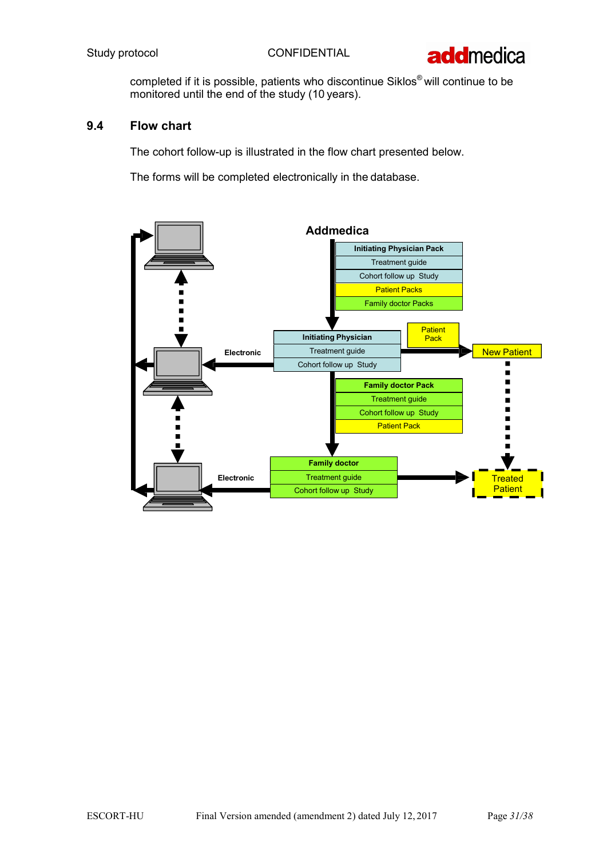

completed if it is possible, patients who discontinue Siklos® will continue to be monitored until the end of the study (10 years).

## 9.4 Flow chart

The cohort follow-up is illustrated in the flow chart presented below.

The forms will be completed electronically in the database.

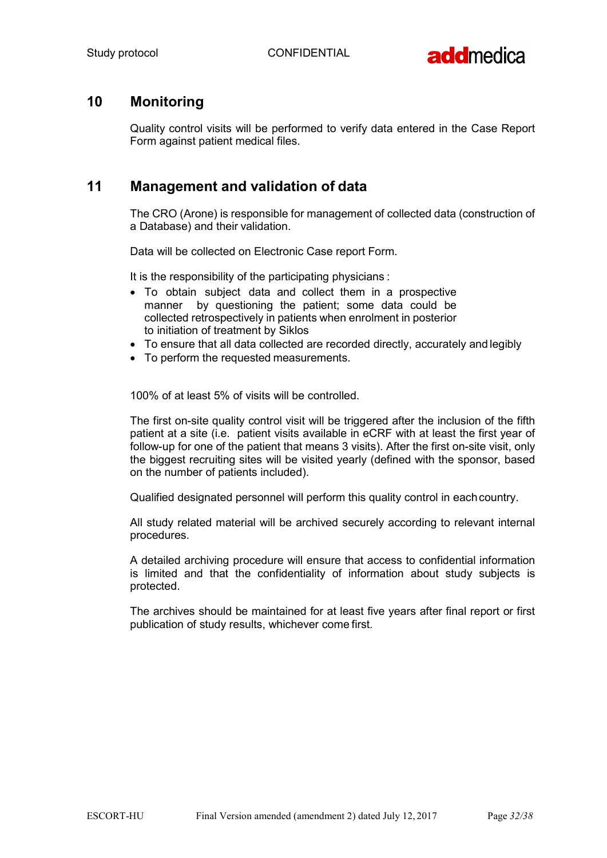

## 10 Monitoring

Quality control visits will be performed to verify data entered in the Case Report Form against patient medical files.

## 11 Management and validation of data

The CRO (Arone) is responsible for management of collected data (construction of a Database) and their validation.

Data will be collected on Electronic Case report Form.

It is the responsibility of the participating physicians :

- To obtain subject data and collect them in a prospective manner by questioning the patient; some data could be collected retrospectively in patients when enrolment in posterior to initiation of treatment by Siklos
- To ensure that all data collected are recorded directly, accurately and legibly
- To perform the requested measurements.

100% of at least 5% of visits will be controlled.

The first on-site quality control visit will be triggered after the inclusion of the fifth patient at a site (i.e. patient visits available in eCRF with at least the first year of follow-up for one of the patient that means 3 visits). After the first on-site visit, only the biggest recruiting sites will be visited yearly (defined with the sponsor, based on the number of patients included).

Qualified designated personnel will perform this quality control in each country.

All study related material will be archived securely according to relevant internal procedures.

A detailed archiving procedure will ensure that access to confidential information is limited and that the confidentiality of information about study subjects is protected.

The archives should be maintained for at least five years after final report or first publication of study results, whichever come first.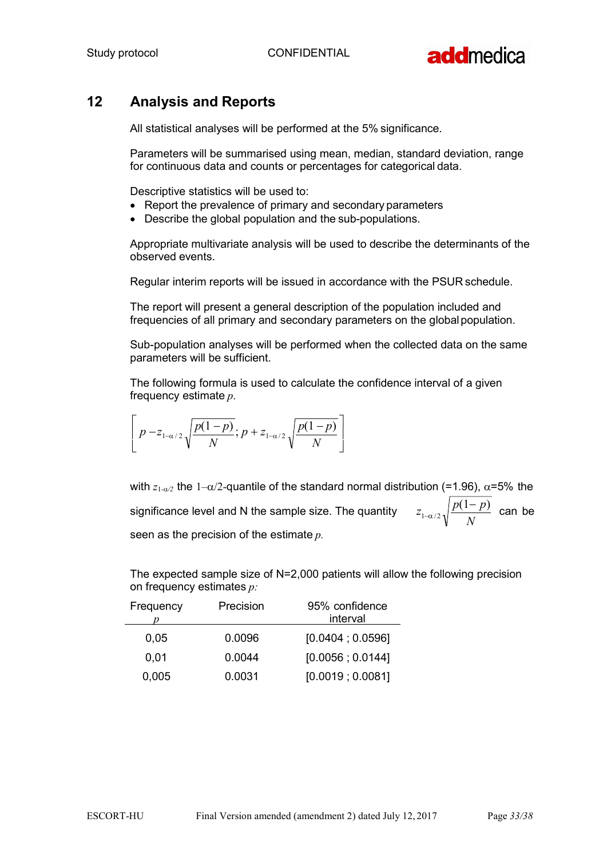

## 12 Analysis and Reports

All statistical analyses will be performed at the 5% significance.

Parameters will be summarised using mean, median, standard deviation, range for continuous data and counts or percentages for categorical data.

Descriptive statistics will be used to:

- Report the prevalence of primary and secondary parameters
- Describe the global population and the sub-populations.

Appropriate multivariate analysis will be used to describe the determinants of the observed events.

Regular interim reports will be issued in accordance with the PSUR schedule.

The report will present a general description of the population included and frequencies of all primary and secondary parameters on the global population.

Sub-population analyses will be performed when the collected data on the same parameters will be sufficient.

The following formula is used to calculate the confidence interval of a given frequency estimate p.

$$
\left[p-z_{1-\alpha/2}\sqrt{\frac{p(1-p)}{N}};p+z_{1-\alpha/2}\sqrt{\frac{p(1-p)}{N}}\right]
$$

with  $z_{1-\alpha/2}$  the 1– $\alpha/2$ -quantile of the standard normal distribution (=1.96),  $\alpha$ =5% the significance level and N the sample size. The quantity seen as the precision of the estimate  $p$ .  $z_{1-\alpha/2}$ ,  $\sqrt{\frac{p(1-p)}{N}}$  can be N

The expected sample size of N=2,000 patients will allow the following precision on frequency estimates  $p$ .

| Frequency | Precision | 95% confidence<br>interval |
|-----------|-----------|----------------------------|
| 0.05      | 0.0096    | [0.0404:0.0596]            |
| 0.01      | 0.0044    | [0.0056; 0.0144]           |
| 0,005     | 0.0031    | [0.0019; 0.0081]           |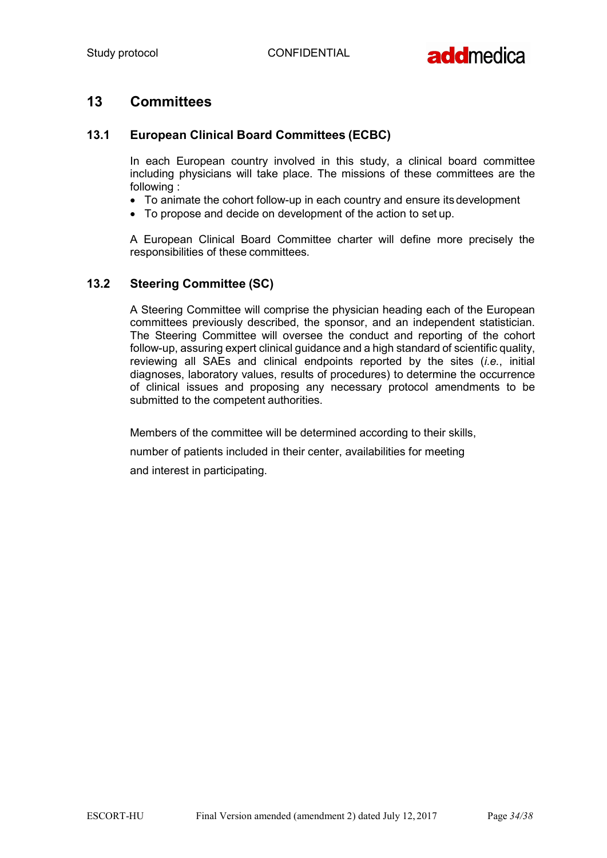

## 13 Committees

## 13.1 European Clinical Board Committees (ECBC)

In each European country involved in this study, a clinical board committee including physicians will take place. The missions of these committees are the following :

- To animate the cohort follow-up in each country and ensure its development
- To propose and decide on development of the action to set up.

A European Clinical Board Committee charter will define more precisely the responsibilities of these committees.

### 13.2 Steering Committee (SC)

A Steering Committee will comprise the physician heading each of the European committees previously described, the sponsor, and an independent statistician. The Steering Committee will oversee the conduct and reporting of the cohort follow-up, assuring expert clinical guidance and a high standard of scientific quality, reviewing all SAEs and clinical endpoints reported by the sites (*i.e.*, initial diagnoses, laboratory values, results of procedures) to determine the occurrence of clinical issues and proposing any necessary protocol amendments to be submitted to the competent authorities.

Members of the committee will be determined according to their skills, number of patients included in their center, availabilities for meeting and interest in participating.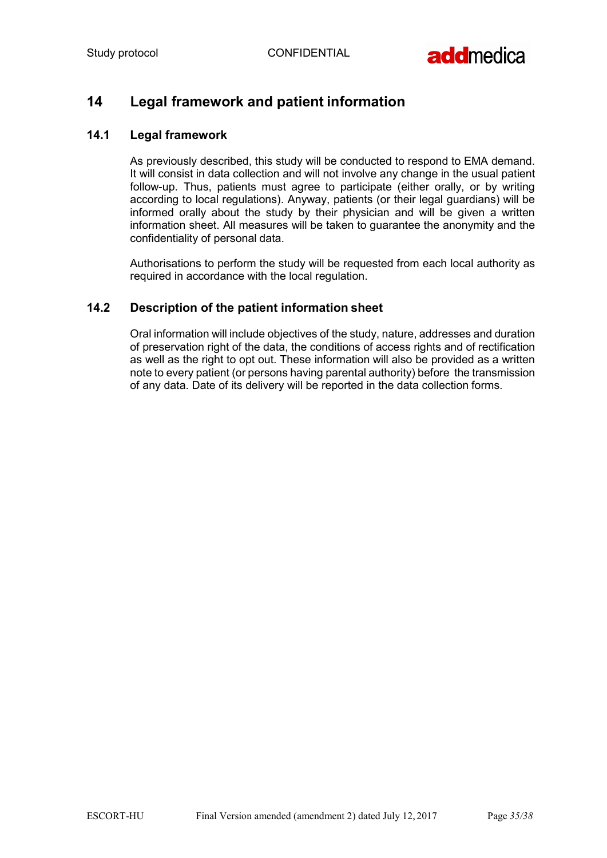

## 14 Legal framework and patient information

## 14.1 Legal framework

As previously described, this study will be conducted to respond to EMA demand. It will consist in data collection and will not involve any change in the usual patient follow-up. Thus, patients must agree to participate (either orally, or by writing according to local regulations). Anyway, patients (or their legal guardians) will be informed orally about the study by their physician and will be given a written information sheet. All measures will be taken to guarantee the anonymity and the confidentiality of personal data.

Authorisations to perform the study will be requested from each local authority as required in accordance with the local regulation.

## 14.2 Description of the patient information sheet

Oral information will include objectives of the study, nature, addresses and duration of preservation right of the data, the conditions of access rights and of rectification as well as the right to opt out. These information will also be provided as a written note to every patient (or persons having parental authority) before the transmission of any data. Date of its delivery will be reported in the data collection forms.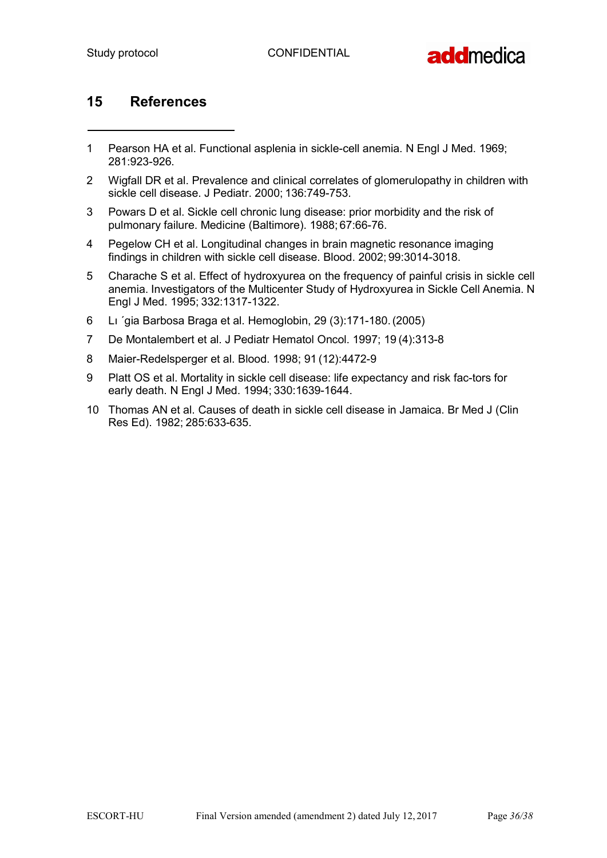

## 15 References

- 1 Pearson HA et al. Functional asplenia in sickle-cell anemia. N Engl J Med. 1969; 281:923-926.
- 2 Wigfall DR et al. Prevalence and clinical correlates of glomerulopathy in children with sickle cell disease. J Pediatr. 2000; 136:749-753.
- 3 Powars D et al. Sickle cell chronic lung disease: prior morbidity and the risk of pulmonary failure. Medicine (Baltimore). 1988; 67:66-76.
- 4 Pegelow CH et al. Longitudinal changes in brain magnetic resonance imaging findings in children with sickle cell disease. Blood. 2002; 99:3014-3018.
- 5 Charache S et al. Effect of hydroxyurea on the frequency of painful crisis in sickle cell anemia. Investigators of the Multicenter Study of Hydroxyurea in Sickle Cell Anemia. N Engl J Med. 1995; 332:1317-1322.
- 6 Lı ´gia Barbosa Braga et al. Hemoglobin, 29 (3):171-180. (2005)
- 7 De Montalembert et al. J Pediatr Hematol Oncol. 1997; 19 (4):313-8
- 8 Maier-Redelsperger et al. Blood. 1998; 91 (12):4472-9
- 9 Platt OS et al. Mortality in sickle cell disease: life expectancy and risk fac-tors for early death. N Engl J Med. 1994; 330:1639-1644.
- 10 Thomas AN et al. Causes of death in sickle cell disease in Jamaica. Br Med J (Clin Res Ed). 1982; 285:633-635.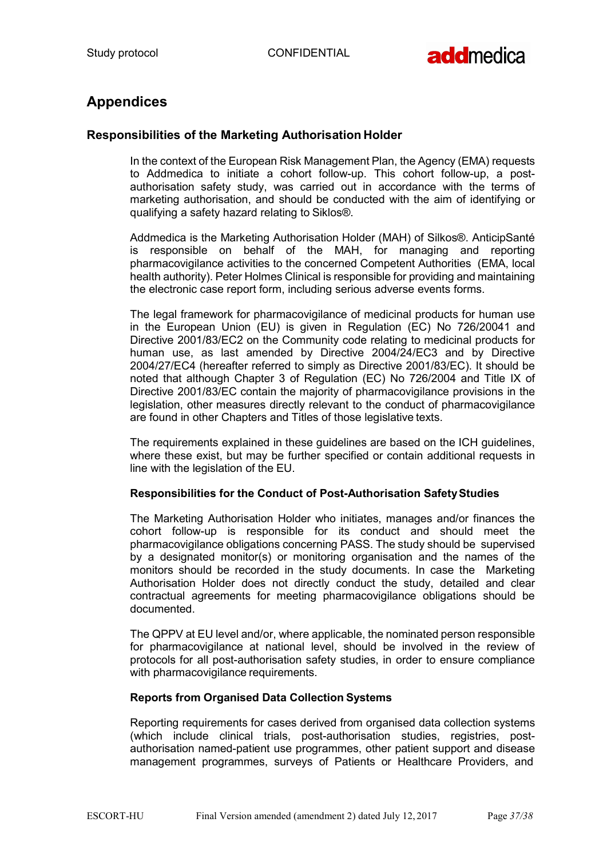

## Appendices

## Responsibilities of the Marketing Authorisation Holder

In the context of the European Risk Management Plan, the Agency (EMA) requests to Addmedica to initiate a cohort follow-up. This cohort follow-up, a postauthorisation safety study, was carried out in accordance with the terms of marketing authorisation, and should be conducted with the aim of identifying or qualifying a safety hazard relating to Siklos®.

Addmedica is the Marketing Authorisation Holder (MAH) of Silkos®. AnticipSanté is responsible on behalf of the MAH, for managing and reporting pharmacovigilance activities to the concerned Competent Authorities (EMA, local health authority). Peter Holmes Clinical is responsible for providing and maintaining the electronic case report form, including serious adverse events forms.

The legal framework for pharmacovigilance of medicinal products for human use in the European Union (EU) is given in Regulation (EC) No 726/20041 and Directive 2001/83/EC2 on the Community code relating to medicinal products for human use, as last amended by Directive 2004/24/EC3 and by Directive 2004/27/EC4 (hereafter referred to simply as Directive 2001/83/EC). It should be noted that although Chapter 3 of Regulation (EC) No 726/2004 and Title IX of Directive 2001/83/EC contain the majority of pharmacovigilance provisions in the legislation, other measures directly relevant to the conduct of pharmacovigilance are found in other Chapters and Titles of those legislative texts.

The requirements explained in these guidelines are based on the ICH guidelines, where these exist, but may be further specified or contain additional requests in line with the legislation of the EU.

#### Responsibilities for the Conduct of Post-Authorisation Safety Studies

The Marketing Authorisation Holder who initiates, manages and/or finances the cohort follow-up is responsible for its conduct and should meet the pharmacovigilance obligations concerning PASS. The study should be supervised by a designated monitor(s) or monitoring organisation and the names of the monitors should be recorded in the study documents. In case the Marketing Authorisation Holder does not directly conduct the study, detailed and clear contractual agreements for meeting pharmacovigilance obligations should be documented.

The QPPV at EU level and/or, where applicable, the nominated person responsible for pharmacovigilance at national level, should be involved in the review of protocols for all post-authorisation safety studies, in order to ensure compliance with pharmacovigilance requirements.

#### Reports from Organised Data Collection Systems

Reporting requirements for cases derived from organised data collection systems (which include clinical trials, post-authorisation studies, registries, postauthorisation named-patient use programmes, other patient support and disease management programmes, surveys of Patients or Healthcare Providers, and